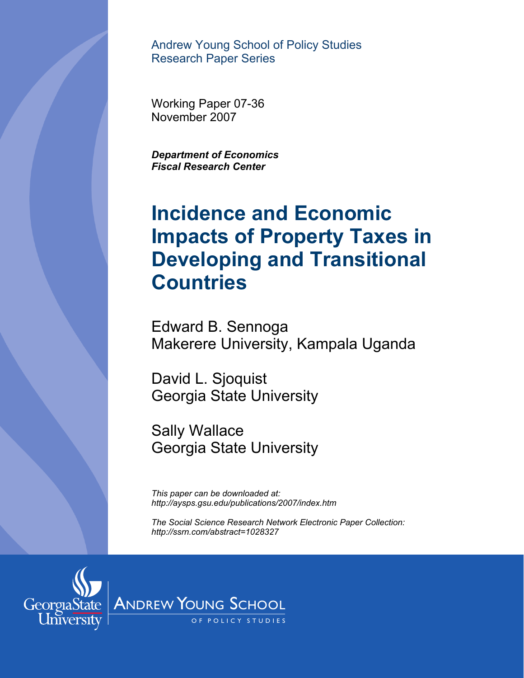Andrew Young School of Policy Studies Research Paper Series

Working Paper 07-36 November 2007

*Fiscal Research Center* 

# **Incidence and Economic Impacts of Property Taxes in Developing and Transitional Countries** Bepartment of Economics<br>Fiscal Research Center<br>**Incidence and Economical State Impacts of Proper<br>Developing and T<br>Countries<br>Edward B. Sennoga<br>Makerere University, Kan<br>David L. Sjoquist<br>Georgia State University<br>Sally Wallac**

Edward B. Sennoga Makerere University, Kampala Uganda

David L. Sjoquist Georgia State University

Sally Wallace

*This paper can be downloaded at: http://aysps.gsu.edu/publications/2007/index.htm* 

*The Social Science Research Network Electronic Paper Collection: http://ssrn.com/abstract=1028327*

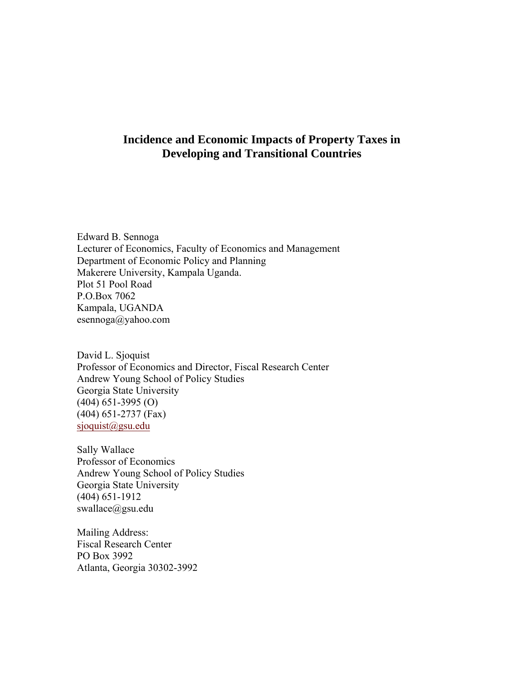# **Incidence and Economic Impacts of Property Taxes in Developing and Transitional Countries**

Edward B. Sennoga Lecturer of Economics, Faculty of Economics and Management Department of Economic Policy and Planning Makerere University, Kampala Uganda. Plot 51 Pool Road P.O.Box 7062 Kampala, UGANDA esennoga@yahoo.com

David L. Sjoquist Professor of Economics and Director, Fiscal Research Center Andrew Young School of Policy Studies Georgia State University (404) 651-3995 (O) (404) 651-2737 (Fax) [sjoquist@gsu.edu](mailto:sjoquist@gsu.edu)

Sally Wallace Professor of Economics Andrew Young School of Policy Studies Georgia State University (404) 651-1912 swallace@gsu.edu

Mailing Address: Fiscal Research Center PO Box 3992 Atlanta, Georgia 30302-3992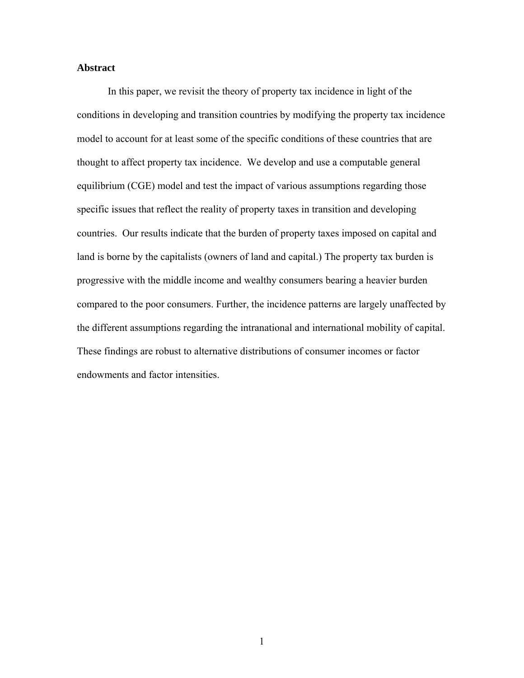# **Abstract**

In this paper, we revisit the theory of property tax incidence in light of the conditions in developing and transition countries by modifying the property tax incidence model to account for at least some of the specific conditions of these countries that are thought to affect property tax incidence. We develop and use a computable general equilibrium (CGE) model and test the impact of various assumptions regarding those specific issues that reflect the reality of property taxes in transition and developing countries. Our results indicate that the burden of property taxes imposed on capital and land is borne by the capitalists (owners of land and capital.) The property tax burden is progressive with the middle income and wealthy consumers bearing a heavier burden compared to the poor consumers. Further, the incidence patterns are largely unaffected by the different assumptions regarding the intranational and international mobility of capital. These findings are robust to alternative distributions of consumer incomes or factor endowments and factor intensities.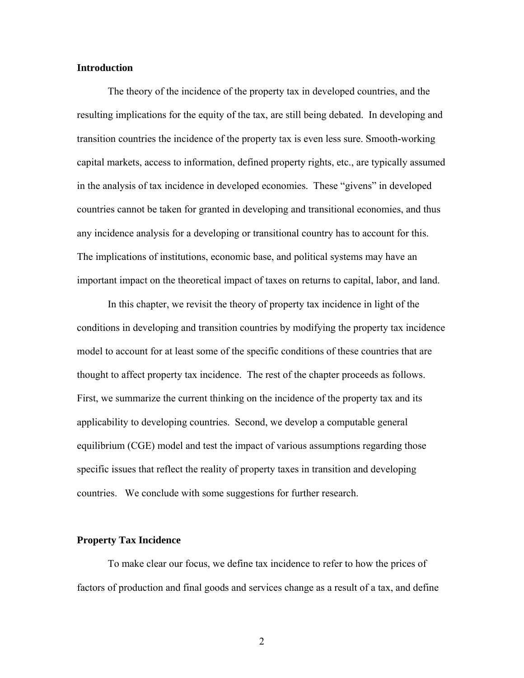# **Introduction**

The theory of the incidence of the property tax in developed countries, and the resulting implications for the equity of the tax, are still being debated. In developing and transition countries the incidence of the property tax is even less sure. Smooth-working capital markets, access to information, defined property rights, etc., are typically assumed in the analysis of tax incidence in developed economies. These "givens" in developed countries cannot be taken for granted in developing and transitional economies, and thus any incidence analysis for a developing or transitional country has to account for this. The implications of institutions, economic base, and political systems may have an important impact on the theoretical impact of taxes on returns to capital, labor, and land.

In this chapter, we revisit the theory of property tax incidence in light of the conditions in developing and transition countries by modifying the property tax incidence model to account for at least some of the specific conditions of these countries that are thought to affect property tax incidence. The rest of the chapter proceeds as follows. First, we summarize the current thinking on the incidence of the property tax and its applicability to developing countries. Second, we develop a computable general equilibrium (CGE) model and test the impact of various assumptions regarding those specific issues that reflect the reality of property taxes in transition and developing countries. We conclude with some suggestions for further research.

# **Property Tax Incidence**

To make clear our focus, we define tax incidence to refer to how the prices of factors of production and final goods and services change as a result of a tax, and define

2 a set of  $\sim$  2 a set of  $\sim$  2 a set of  $\sim$  2 a set of  $\sim$  3 a set of  $\sim$  3 a set of  $\sim$  3 a set of  $\sim$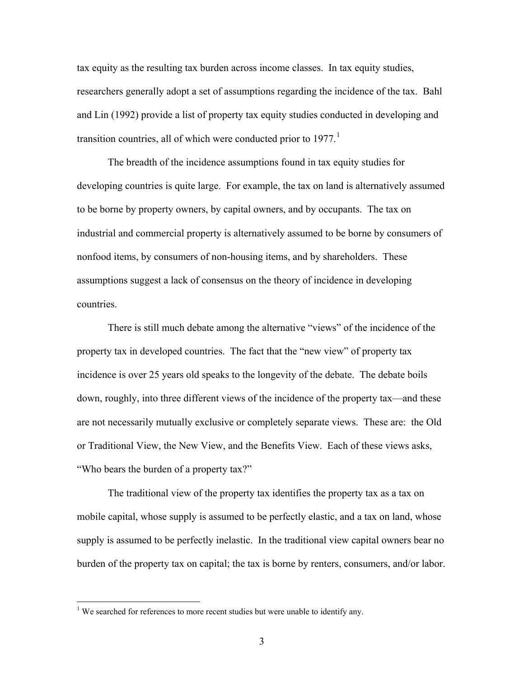tax equity as the resulting tax burden across income classes. In tax equity studies, researchers generally adopt a set of assumptions regarding the incidence of the tax. Bahl and Lin (1992) provide a list of property tax equity studies conducted in developing and transition countries, all of which were conducted prior to  $1977<sup>1</sup>$  $1977<sup>1</sup>$ 

The breadth of the incidence assumptions found in tax equity studies for developing countries is quite large. For example, the tax on land is alternatively assumed to be borne by property owners, by capital owners, and by occupants. The tax on industrial and commercial property is alternatively assumed to be borne by consumers of nonfood items, by consumers of non-housing items, and by shareholders. These assumptions suggest a lack of consensus on the theory of incidence in developing countries.

There is still much debate among the alternative "views" of the incidence of the property tax in developed countries. The fact that the "new view" of property tax incidence is over 25 years old speaks to the longevity of the debate. The debate boils down, roughly, into three different views of the incidence of the property tax—and these are not necessarily mutually exclusive or completely separate views. These are: the Old or Traditional View, the New View, and the Benefits View. Each of these views asks, "Who bears the burden of a property tax?"

 The traditional view of the property tax identifies the property tax as a tax on mobile capital, whose supply is assumed to be perfectly elastic, and a tax on land, whose supply is assumed to be perfectly inelastic. In the traditional view capital owners bear no burden of the property tax on capital; the tax is borne by renters, consumers, and/or labor.

 $\overline{a}$ 

<span id="page-4-0"></span><sup>&</sup>lt;sup>1</sup> We searched for references to more recent studies but were unable to identify any.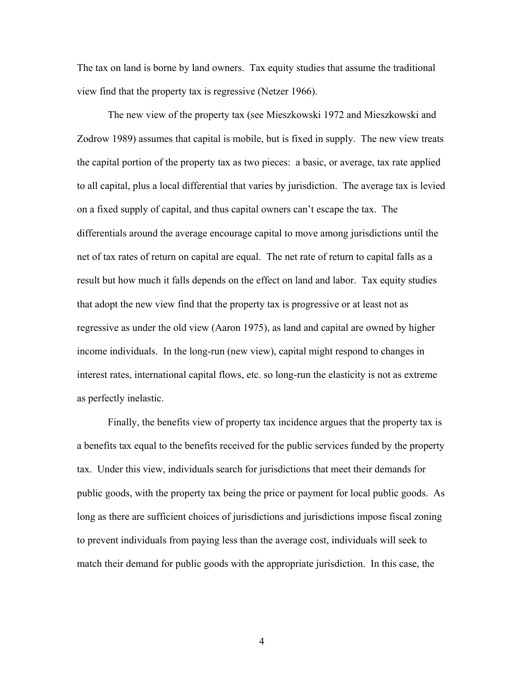The tax on land is borne by land owners. Tax equity studies that assume the traditional view find that the property tax is regressive (Netzer 1966).

The new view of the property tax (see Mieszkowski 1972 and Mieszkowski and Zodrow 1989) assumes that capital is mobile, but is fixed in supply. The new view treats the capital portion of the property tax as two pieces: a basic, or average, tax rate applied to all capital, plus a local differential that varies by jurisdiction. The average tax is levied on a fixed supply of capital, and thus capital owners can't escape the tax. The differentials around the average encourage capital to move among jurisdictions until the net of tax rates of return on capital are equal. The net rate of return to capital falls as a result but how much it falls depends on the effect on land and labor. Tax equity studies that adopt the new view find that the property tax is progressive or at least not as regressive as under the old view (Aaron 1975), as land and capital are owned by higher income individuals. In the long-run (new view), capital might respond to changes in interest rates, international capital flows, etc. so long-run the elasticity is not as extreme as perfectly inelastic.

Finally, the benefits view of property tax incidence argues that the property tax is a benefits tax equal to the benefits received for the public services funded by the property tax. Under this view, individuals search for jurisdictions that meet their demands for public goods, with the property tax being the price or payment for local public goods. As long as there are sufficient choices of jurisdictions and jurisdictions impose fiscal zoning to prevent individuals from paying less than the average cost, individuals will seek to match their demand for public goods with the appropriate jurisdiction. In this case, the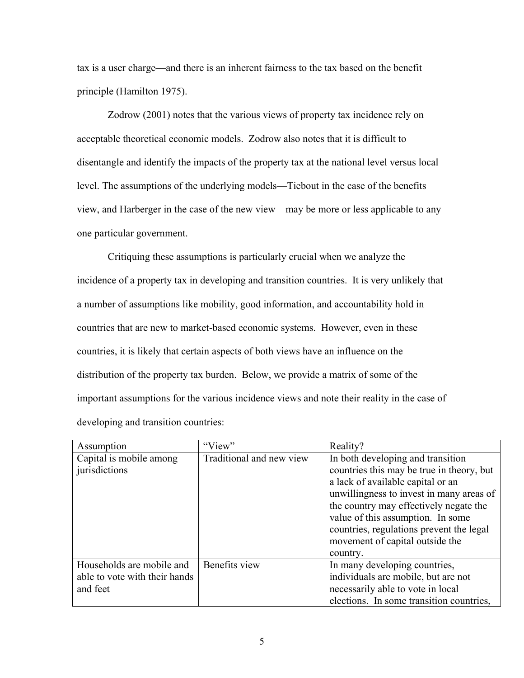tax is a user charge—and there is an inherent fairness to the tax based on the benefit principle (Hamilton 1975).

Zodrow (2001) notes that the various views of property tax incidence rely on acceptable theoretical economic models. Zodrow also notes that it is difficult to disentangle and identify the impacts of the property tax at the national level versus local level. The assumptions of the underlying models—Tiebout in the case of the benefits view, and Harberger in the case of the new view—may be more or less applicable to any one particular government.

Critiquing these assumptions is particularly crucial when we analyze the incidence of a property tax in developing and transition countries. It is very unlikely that a number of assumptions like mobility, good information, and accountability hold in countries that are new to market-based economic systems. However, even in these countries, it is likely that certain aspects of both views have an influence on the distribution of the property tax burden. Below, we provide a matrix of some of the important assumptions for the various incidence views and note their reality in the case of developing and transition countries:

| Assumption                    | "View"                   | Reality?                                  |
|-------------------------------|--------------------------|-------------------------------------------|
| Capital is mobile among       | Traditional and new view | In both developing and transition         |
| jurisdictions                 |                          | countries this may be true in theory, but |
|                               |                          | a lack of available capital or an         |
|                               |                          | unwillingness to invest in many areas of  |
|                               |                          | the country may effectively negate the    |
|                               |                          | value of this assumption. In some         |
|                               |                          | countries, regulations prevent the legal  |
|                               |                          | movement of capital outside the           |
|                               |                          | country.                                  |
| Households are mobile and     | Benefits view            | In many developing countries,             |
| able to vote with their hands |                          | individuals are mobile, but are not       |
| and feet                      |                          | necessarily able to vote in local         |
|                               |                          | elections. In some transition countries,  |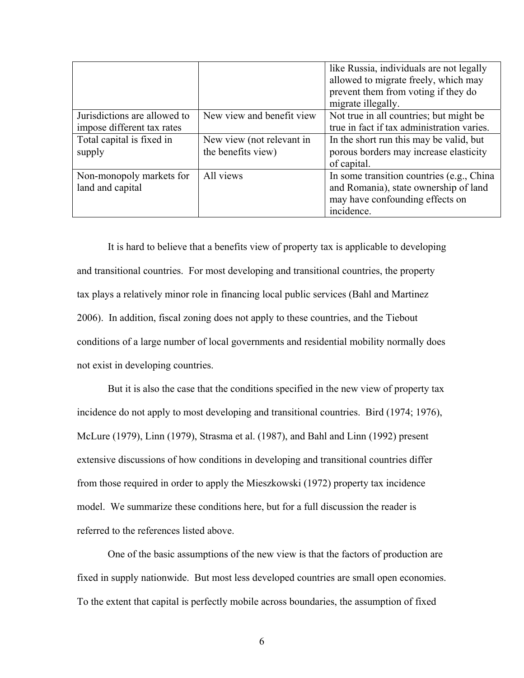|                              |                           | like Russia, individuals are not legally<br>allowed to migrate freely, which may<br>prevent them from voting if they do<br>migrate illegally. |
|------------------------------|---------------------------|-----------------------------------------------------------------------------------------------------------------------------------------------|
| Jurisdictions are allowed to | New view and benefit view | Not true in all countries; but might be                                                                                                       |
| impose different tax rates   |                           | true in fact if tax administration varies.                                                                                                    |
| Total capital is fixed in    | New view (not relevant in | In the short run this may be valid, but                                                                                                       |
| supply                       | the benefits view)        | porous borders may increase elasticity                                                                                                        |
|                              |                           | of capital.                                                                                                                                   |
| Non-monopoly markets for     | All views                 | In some transition countries (e.g., China                                                                                                     |
| land and capital             |                           | and Romania), state ownership of land                                                                                                         |
|                              |                           | may have confounding effects on                                                                                                               |
|                              |                           | incidence.                                                                                                                                    |

It is hard to believe that a benefits view of property tax is applicable to developing and transitional countries. For most developing and transitional countries, the property tax plays a relatively minor role in financing local public services (Bahl and Martinez 2006). In addition, fiscal zoning does not apply to these countries, and the Tiebout conditions of a large number of local governments and residential mobility normally does not exist in developing countries.

 But it is also the case that the conditions specified in the new view of property tax incidence do not apply to most developing and transitional countries. Bird (1974; 1976), McLure (1979), Linn (1979), Strasma et al. (1987), and Bahl and Linn (1992) present extensive discussions of how conditions in developing and transitional countries differ from those required in order to apply the Mieszkowski (1972) property tax incidence model. We summarize these conditions here, but for a full discussion the reader is referred to the references listed above.

 One of the basic assumptions of the new view is that the factors of production are fixed in supply nationwide. But most less developed countries are small open economies. To the extent that capital is perfectly mobile across boundaries, the assumption of fixed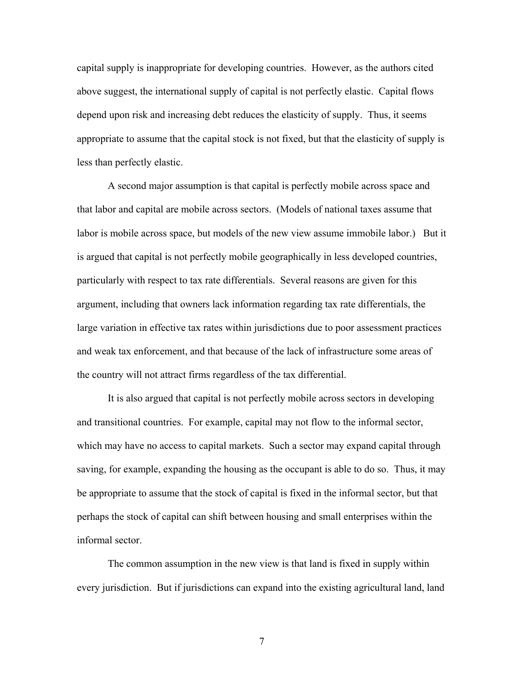capital supply is inappropriate for developing countries. However, as the authors cited above suggest, the international supply of capital is not perfectly elastic. Capital flows depend upon risk and increasing debt reduces the elasticity of supply. Thus, it seems appropriate to assume that the capital stock is not fixed, but that the elasticity of supply is less than perfectly elastic.

 A second major assumption is that capital is perfectly mobile across space and that labor and capital are mobile across sectors. (Models of national taxes assume that labor is mobile across space, but models of the new view assume immobile labor.) But it is argued that capital is not perfectly mobile geographically in less developed countries, particularly with respect to tax rate differentials. Several reasons are given for this argument, including that owners lack information regarding tax rate differentials, the large variation in effective tax rates within jurisdictions due to poor assessment practices and weak tax enforcement, and that because of the lack of infrastructure some areas of the country will not attract firms regardless of the tax differential.

 It is also argued that capital is not perfectly mobile across sectors in developing and transitional countries. For example, capital may not flow to the informal sector, which may have no access to capital markets. Such a sector may expand capital through saving, for example, expanding the housing as the occupant is able to do so. Thus, it may be appropriate to assume that the stock of capital is fixed in the informal sector, but that perhaps the stock of capital can shift between housing and small enterprises within the informal sector.

 The common assumption in the new view is that land is fixed in supply within every jurisdiction. But if jurisdictions can expand into the existing agricultural land, land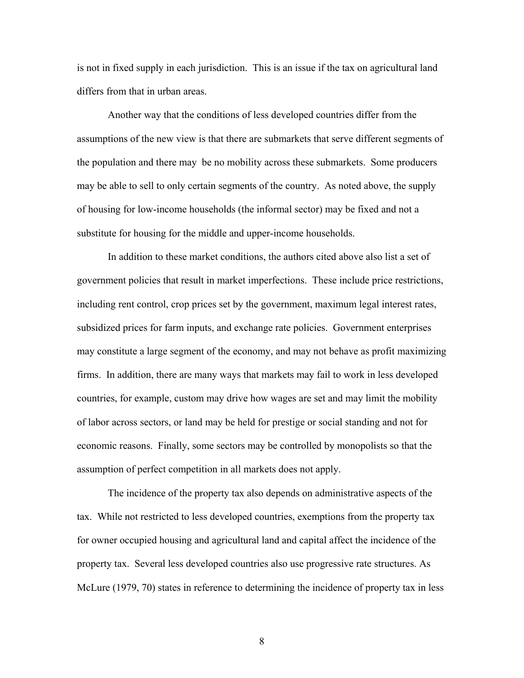is not in fixed supply in each jurisdiction. This is an issue if the tax on agricultural land differs from that in urban areas.

 Another way that the conditions of less developed countries differ from the assumptions of the new view is that there are submarkets that serve different segments of the population and there may be no mobility across these submarkets. Some producers may be able to sell to only certain segments of the country. As noted above, the supply of housing for low-income households (the informal sector) may be fixed and not a substitute for housing for the middle and upper-income households.

 In addition to these market conditions, the authors cited above also list a set of government policies that result in market imperfections. These include price restrictions, including rent control, crop prices set by the government, maximum legal interest rates, subsidized prices for farm inputs, and exchange rate policies. Government enterprises may constitute a large segment of the economy, and may not behave as profit maximizing firms. In addition, there are many ways that markets may fail to work in less developed countries, for example, custom may drive how wages are set and may limit the mobility of labor across sectors, or land may be held for prestige or social standing and not for economic reasons. Finally, some sectors may be controlled by monopolists so that the assumption of perfect competition in all markets does not apply.

The incidence of the property tax also depends on administrative aspects of the tax. While not restricted to less developed countries, exemptions from the property tax for owner occupied housing and agricultural land and capital affect the incidence of the property tax. Several less developed countries also use progressive rate structures. As McLure (1979, 70) states in reference to determining the incidence of property tax in less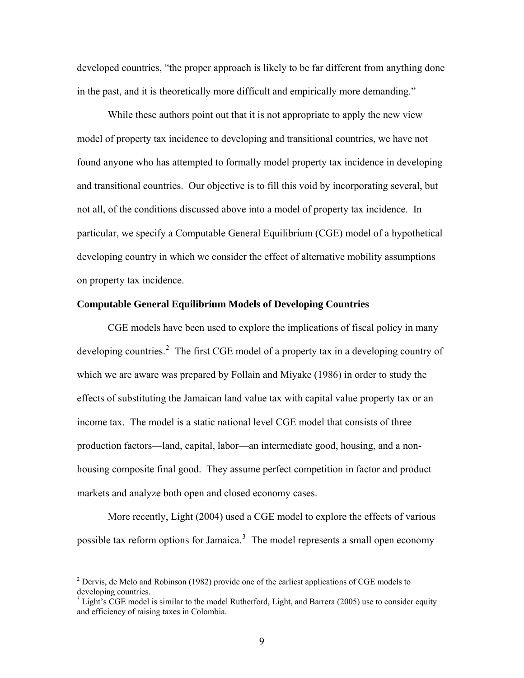<span id="page-10-0"></span>developed countries, "the proper approach is likely to be far different from anything done in the past, and it is theoretically more difficult and empirically more demanding."

While these authors point out that it is not appropriate to apply the new view model of property tax incidence to developing and transitional countries, we have not found anyone who has attempted to formally model property tax incidence in developing and transitional countries. Our objective is to fill this void by incorporating several, but not all, of the conditions discussed above into a model of property tax incidence. In particular, we specify a Computable General Equilibrium (CGE) model of a hypothetical developing country in which we consider the effect of alternative mobility assumptions on property tax incidence.

# **Computable General Equilibrium Models of Developing Countries**

 CGE models have been used to explore the implications of fiscal policy in many developing countries.<sup>[2](#page-10-0)</sup> The first CGE model of a property tax in a developing country of which we are aware was prepared by Follain and Miyake (1986) in order to study the effects of substituting the Jamaican land value tax with capital value property tax or an income tax. The model is a static national level CGE model that consists of three production factors—land, capital, labor—an intermediate good, housing, and a nonhousing composite final good. They assume perfect competition in factor and product markets and analyze both open and closed economy cases.

 More recently, Light (2004) used a CGE model to explore the effects of various possible tax reform options for Jamaica.<sup>[3](#page-10-0)</sup> The model represents a small open economy

 $\overline{a}$ 

 $2^2$  Dervis, de Melo and Robinson (1982) provide one of the earliest applications of CGE models to developing countries.

 $3$  Light's CGE model is similar to the model Rutherford, Light, and Barrera (2005) use to consider equity and efficiency of raising taxes in Colombia.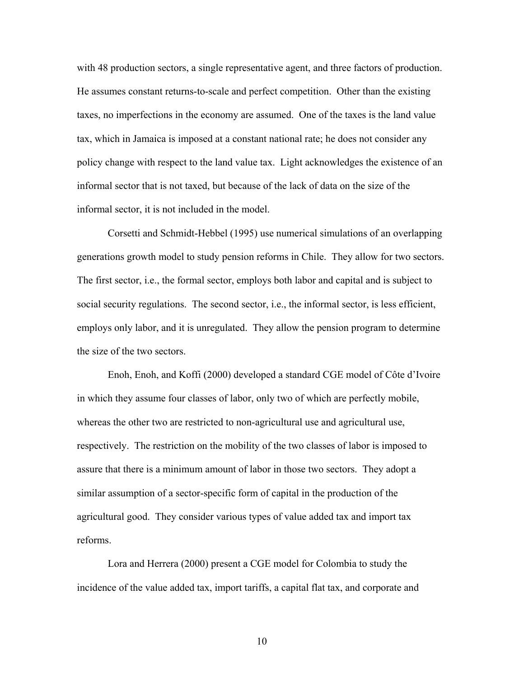with 48 production sectors, a single representative agent, and three factors of production. He assumes constant returns-to-scale and perfect competition. Other than the existing taxes, no imperfections in the economy are assumed. One of the taxes is the land value tax, which in Jamaica is imposed at a constant national rate; he does not consider any policy change with respect to the land value tax. Light acknowledges the existence of an informal sector that is not taxed, but because of the lack of data on the size of the informal sector, it is not included in the model.

 Corsetti and Schmidt-Hebbel (1995) use numerical simulations of an overlapping generations growth model to study pension reforms in Chile. They allow for two sectors. The first sector, i.e., the formal sector, employs both labor and capital and is subject to social security regulations. The second sector, i.e., the informal sector, is less efficient, employs only labor, and it is unregulated. They allow the pension program to determine the size of the two sectors.

Enoh, Enoh, and Koffi (2000) developed a standard CGE model of Côte d'Ivoire in which they assume four classes of labor, only two of which are perfectly mobile, whereas the other two are restricted to non-agricultural use and agricultural use, respectively. The restriction on the mobility of the two classes of labor is imposed to assure that there is a minimum amount of labor in those two sectors. They adopt a similar assumption of a sector-specific form of capital in the production of the agricultural good. They consider various types of value added tax and import tax reforms.

Lora and Herrera (2000) present a CGE model for Colombia to study the incidence of the value added tax, import tariffs, a capital flat tax, and corporate and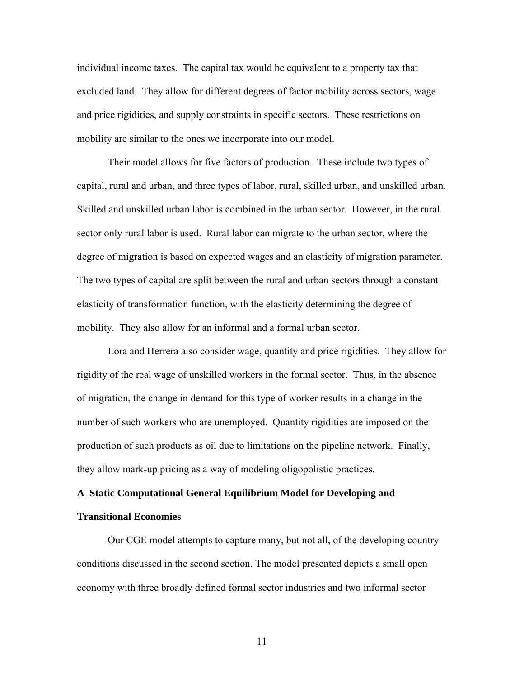individual income taxes. The capital tax would be equivalent to a property tax that excluded land. They allow for different degrees of factor mobility across sectors, wage and price rigidities, and supply constraints in specific sectors. These restrictions on mobility are similar to the ones we incorporate into our model.

Their model allows for five factors of production. These include two types of capital, rural and urban, and three types of labor, rural, skilled urban, and unskilled urban. Skilled and unskilled urban labor is combined in the urban sector. However, in the rural sector only rural labor is used. Rural labor can migrate to the urban sector, where the degree of migration is based on expected wages and an elasticity of migration parameter. The two types of capital are split between the rural and urban sectors through a constant elasticity of transformation function, with the elasticity determining the degree of mobility. They also allow for an informal and a formal urban sector.

Lora and Herrera also consider wage, quantity and price rigidities. They allow for rigidity of the real wage of unskilled workers in the formal sector. Thus, in the absence of migration, the change in demand for this type of worker results in a change in the number of such workers who are unemployed. Quantity rigidities are imposed on the production of such products as oil due to limitations on the pipeline network. Finally, they allow mark-up pricing as a way of modeling oligopolistic practices.

# **A Static Computational General Equilibrium Model for Developing and Transitional Economies**

Our CGE model attempts to capture many, but not all, of the developing country conditions discussed in the second section. The model presented depicts a small open economy with three broadly defined formal sector industries and two informal sector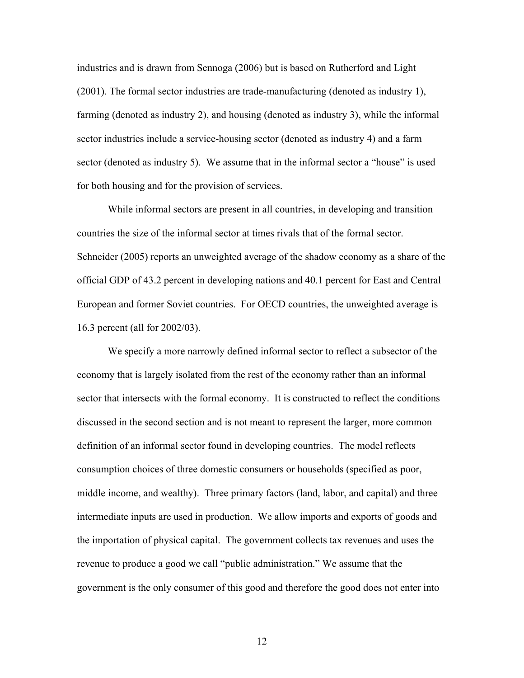industries and is drawn from Sennoga (2006) but is based on Rutherford and Light (2001). The formal sector industries are trade-manufacturing (denoted as industry 1), farming (denoted as industry 2), and housing (denoted as industry 3), while the informal sector industries include a service-housing sector (denoted as industry 4) and a farm sector (denoted as industry 5). We assume that in the informal sector a "house" is used for both housing and for the provision of services.

While informal sectors are present in all countries, in developing and transition countries the size of the informal sector at times rivals that of the formal sector. Schneider (2005) reports an unweighted average of the shadow economy as a share of the official GDP of 43.2 percent in developing nations and 40.1 percent for East and Central European and former Soviet countries. For OECD countries, the unweighted average is 16.3 percent (all for 2002/03).

We specify a more narrowly defined informal sector to reflect a subsector of the economy that is largely isolated from the rest of the economy rather than an informal sector that intersects with the formal economy. It is constructed to reflect the conditions discussed in the second section and is not meant to represent the larger, more common definition of an informal sector found in developing countries. The model reflects consumption choices of three domestic consumers or households (specified as poor, middle income, and wealthy). Three primary factors (land, labor, and capital) and three intermediate inputs are used in production. We allow imports and exports of goods and the importation of physical capital. The government collects tax revenues and uses the revenue to produce a good we call "public administration." We assume that the government is the only consumer of this good and therefore the good does not enter into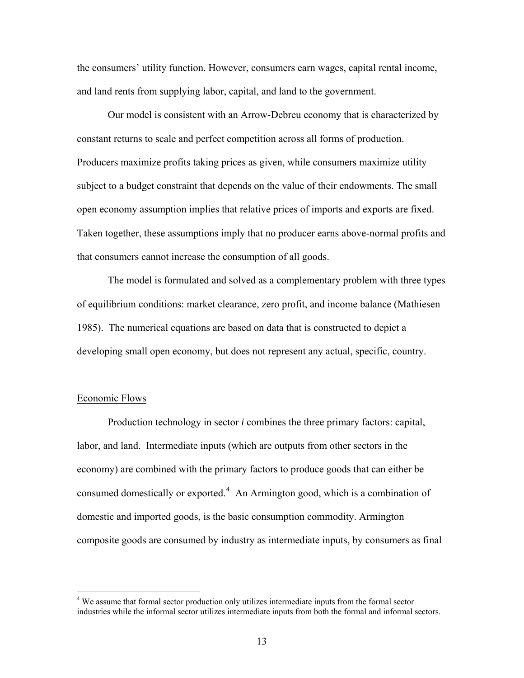<span id="page-14-0"></span>the consumers' utility function. However, consumers earn wages, capital rental income, and land rents from supplying labor, capital, and land to the government.

Our model is consistent with an Arrow-Debreu economy that is characterized by constant returns to scale and perfect competition across all forms of production. Producers maximize profits taking prices as given, while consumers maximize utility subject to a budget constraint that depends on the value of their endowments. The small open economy assumption implies that relative prices of imports and exports are fixed. Taken together, these assumptions imply that no producer earns above-normal profits and that consumers cannot increase the consumption of all goods.

The model is formulated and solved as a complementary problem with three types of equilibrium conditions: market clearance, zero profit, and income balance (Mathiesen 1985). The numerical equations are based on data that is constructed to depict a developing small open economy, but does not represent any actual, specific, country.

# Economic Flows

1

Production technology in sector *i* combines the three primary factors: capital, labor, and land. Intermediate inputs (which are outputs from other sectors in the economy) are combined with the primary factors to produce goods that can either be consumed domestically or exported. $4$  An Armington good, which is a combination of domestic and imported goods, is the basic consumption commodity. Armington composite goods are consumed by industry as intermediate inputs, by consumers as final

<sup>&</sup>lt;sup>4</sup> We assume that formal sector production only utilizes intermediate inputs from the formal sector industries while the informal sector utilizes intermediate inputs from both the formal and informal sectors.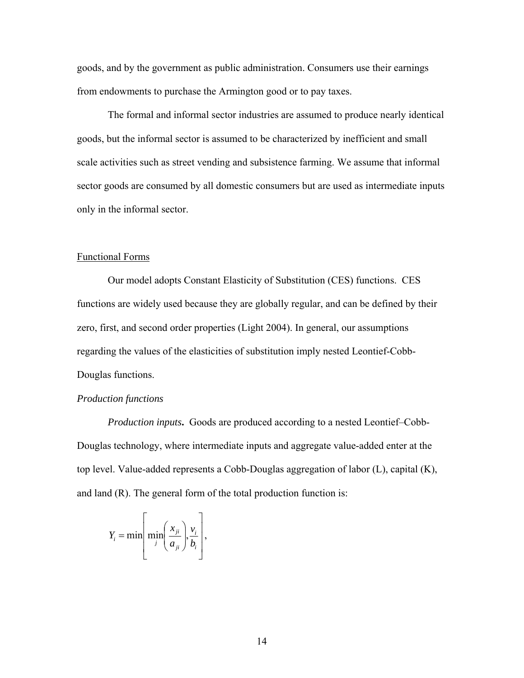goods, and by the government as public administration. Consumers use their earnings from endowments to purchase the Armington good or to pay taxes.

The formal and informal sector industries are assumed to produce nearly identical goods, but the informal sector is assumed to be characterized by inefficient and small scale activities such as street vending and subsistence farming. We assume that informal sector goods are consumed by all domestic consumers but are used as intermediate inputs only in the informal sector.

# Functional Forms

Our model adopts Constant Elasticity of Substitution (CES) functions. CES functions are widely used because they are globally regular, and can be defined by their zero, first, and second order properties (Light 2004). In general, our assumptions regarding the values of the elasticities of substitution imply nested Leontief-Cobb-Douglas functions.

# *Production functions*

*Production inputs***.** Goods are produced according to a nested Leontief–Cobb-Douglas technology, where intermediate inputs and aggregate value-added enter at the top level. Value-added represents a Cobb-Douglas aggregation of labor (L), capital (K), and land (R). The general form of the total production function is:

$$
Y_i = \min\left[\min_j\left(\frac{x_{ji}}{a_{ji}}\right), \frac{v_i}{b_i}\right],
$$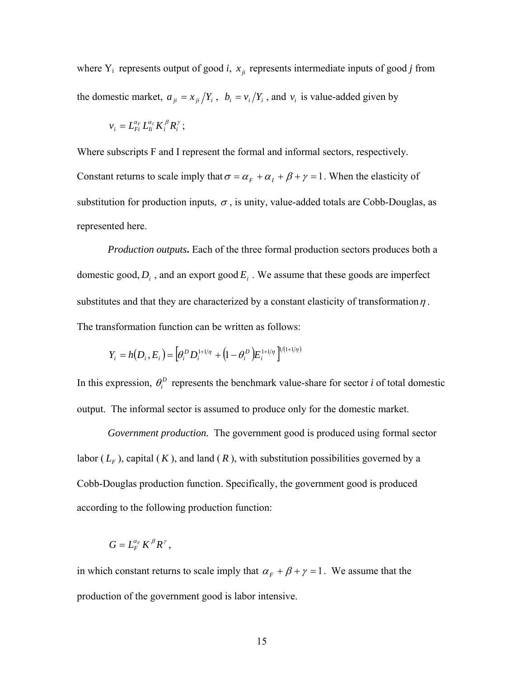where  $Y_i$  represents output of good *i*,  $x_{ji}$  represents intermediate inputs of good *j* from the domestic market,  $a_{ji} = x_{ji}/Y_i$ ,  $b_i = v_i/Y_i$ , and  $v_i$  is value-added given by

$$
v_i = L_{Fi}^{\alpha_F} L_{li}^{\alpha_I} K_i^{\beta} R_i^{\gamma};
$$

Where subscripts F and I represent the formal and informal sectors, respectively. Constant returns to scale imply that  $\sigma = \alpha_F + \alpha_I + \beta + \gamma = 1$ . When the elasticity of substitution for production inputs,  $\sigma$ , is unity, value-added totals are Cobb-Douglas, as represented here.

*Production outputs***.** Each of the three formal production sectors produces both a domestic good,  $D_i$ , and an export good  $E_i$ . We assume that these goods are imperfect substitutes and that they are characterized by a constant elasticity of transformation  $\eta$ . The transformation function can be written as follows:

$$
Y_i = h(D_i, E_i) = \left[\theta_i^D D_i^{1+1/\eta} + \left(1 - \theta_i^D\right) E_i^{1+1/\eta}\right]^{1/(1+1/\eta)}
$$

In this expression,  $\theta_i^D$  represents the benchmark value-share for sector *i* of total domestic output. The informal sector is assumed to produce only for the domestic market.

*Government production.* The government good is produced using formal sector labor ( $L_F$ ), capital ( $K$ ), and land ( $R$ ), with substitution possibilities governed by a Cobb-Douglas production function. Specifically, the government good is produced according to the following production function:

$$
G=L_F^{\alpha_F}K^{\beta}R^{\gamma},
$$

in which constant returns to scale imply that  $\alpha_F + \beta + \gamma = 1$ . We assume that the production of the government good is labor intensive.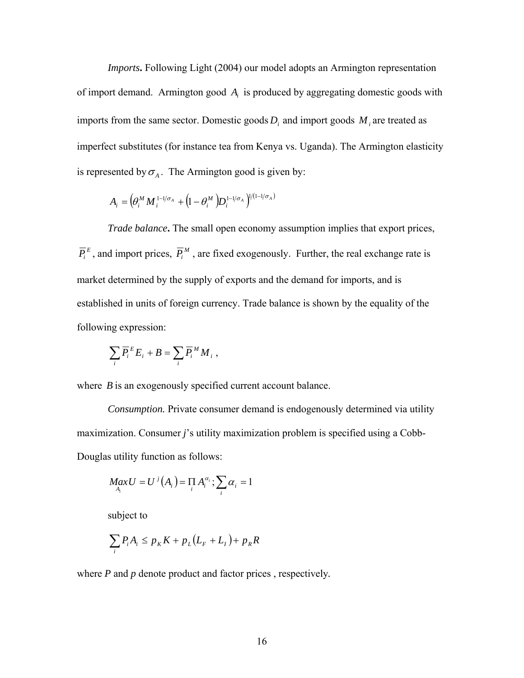*Imports***.** Following Light (2004) our model adopts an Armington representation of import demand. Armington good  $A_i$  is produced by aggregating domestic goods with imports from the same sector. Domestic goods  $D_i$  and import goods  $M_i$  are treated as imperfect substitutes (for instance tea from Kenya vs. Uganda). The Armington elasticity is represented by  $\sigma_A$ . The Armington good is given by:

$$
A_i = \left(\theta_i^M M_i^{\frac{1-\frac{1}{\sigma_A}} + \left(1-\theta_i^M\right)D_i^{\frac{1-\frac{1}{\sigma_A}}\right)^{\frac{1}{1-\frac{1}{\sigma_A}}}}
$$

*Trade balance*. The small open economy assumption implies that export prices,  $\overline{P}_i^E$ , and import prices,  $\overline{P}_i^M$ , are fixed exogenously. Further, the real exchange rate is market determined by the supply of exports and the demand for imports, and is established in units of foreign currency. Trade balance is shown by the equality of the following expression:

$$
\sum_i \overline{P_i}^E E_i + B = \sum_i \overline{P_i}^M M_i ,
$$

where *B* is an exogenously specified current account balance.

*Consumption.* Private consumer demand is endogenously determined via utility maximization. Consumer *j*'s utility maximization problem is specified using a Cobb-Douglas utility function as follows:

$$
MaxU = U^{j}(A_{i}) = \prod_{i} A_{i}^{\alpha_{i}}; \sum_{i} \alpha_{i} = 1
$$

subject to

$$
\sum_{i} P_{i} A_{i} \le p_{K} K + p_{L} (L_{F} + L_{I}) + p_{R} R
$$

where *P* and *p* denote product and factor prices , respectively*.*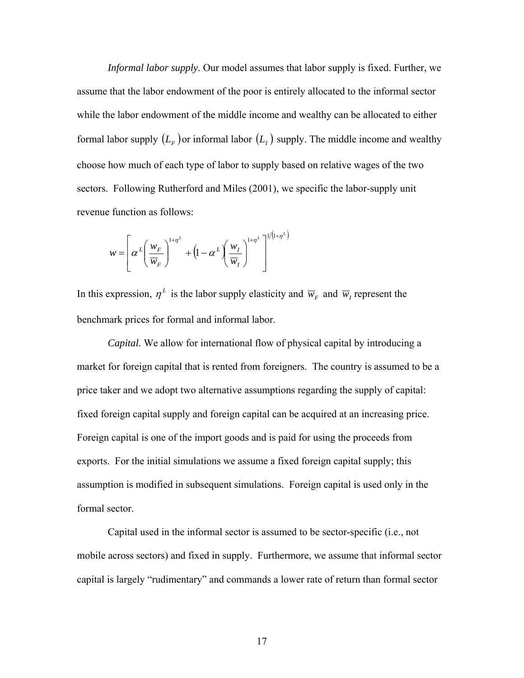*Informal labor supply.* Our model assumes that labor supply is fixed. Further, we assume that the labor endowment of the poor is entirely allocated to the informal sector while the labor endowment of the middle income and wealthy can be allocated to either formal labor supply  $(L_F)$  or informal labor  $(L_F)$  supply. The middle income and wealthy choose how much of each type of labor to supply based on relative wages of the two sectors. Following Rutherford and Miles (2001), we specific the labor-supply unit revenue function as follows:

$$
w = \left[\alpha^{L}\left(\frac{w_{F}}{\overline{w}_{F}}\right)^{1+\eta^{L}} + \left(1 - \alpha^{L}\left(\frac{w_{I}}{\overline{w}_{I}}\right)^{1+\eta^{L}}\right]^{1/(1+\eta^{L})}\right]
$$

In this expression,  $\eta^L$  is the labor supply elasticity and  $\overline{w}_F$  and  $\overline{w}_I$  represent the benchmark prices for formal and informal labor.

*Capital.* We allow for international flow of physical capital by introducing a market for foreign capital that is rented from foreigners. The country is assumed to be a price taker and we adopt two alternative assumptions regarding the supply of capital: fixed foreign capital supply and foreign capital can be acquired at an increasing price. Foreign capital is one of the import goods and is paid for using the proceeds from exports. For the initial simulations we assume a fixed foreign capital supply; this assumption is modified in subsequent simulations. Foreign capital is used only in the formal sector.

Capital used in the informal sector is assumed to be sector-specific (i.e., not mobile across sectors) and fixed in supply. Furthermore, we assume that informal sector capital is largely "rudimentary" and commands a lower rate of return than formal sector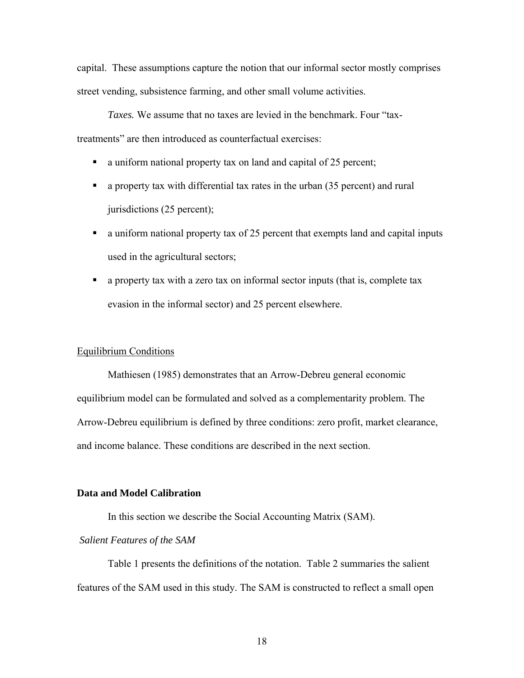capital. These assumptions capture the notion that our informal sector mostly comprises street vending, subsistence farming, and other small volume activities.

*Taxes.* We assume that no taxes are levied in the benchmark. Four "taxtreatments" are then introduced as counterfactual exercises:

- a uniform national property tax on land and capital of 25 percent;
- a property tax with differential tax rates in the urban (35 percent) and rural jurisdictions (25 percent);
- a uniform national property tax of 25 percent that exempts land and capital inputs used in the agricultural sectors;
- a property tax with a zero tax on informal sector inputs (that is, complete tax evasion in the informal sector) and 25 percent elsewhere.

# Equilibrium Conditions

Mathiesen (1985) demonstrates that an Arrow-Debreu general economic equilibrium model can be formulated and solved as a complementarity problem. The Arrow-Debreu equilibrium is defined by three conditions: zero profit, market clearance, and income balance. These conditions are described in the next section.

# **Data and Model Calibration**

In this section we describe the Social Accounting Matrix (SAM).

# *Salient Features of the SAM*

Table 1 presents the definitions of the notation. Table 2 summaries the salient features of the SAM used in this study. The SAM is constructed to reflect a small open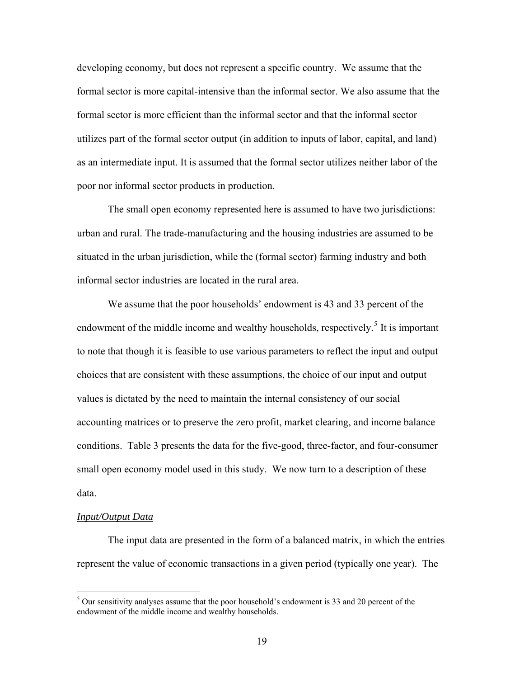<span id="page-20-0"></span>developing economy, but does not represent a specific country. We assume that the formal sector is more capital-intensive than the informal sector. We also assume that the formal sector is more efficient than the informal sector and that the informal sector utilizes part of the formal sector output (in addition to inputs of labor, capital, and land) as an intermediate input. It is assumed that the formal sector utilizes neither labor of the poor nor informal sector products in production.

The small open economy represented here is assumed to have two jurisdictions: urban and rural. The trade-manufacturing and the housing industries are assumed to be situated in the urban jurisdiction, while the (formal sector) farming industry and both informal sector industries are located in the rural area.

We assume that the poor households' endowment is 43 and 33 percent of the endowment of the middle income and wealthy households, respectively.<sup>[5](#page-20-0)</sup> It is important to note that though it is feasible to use various parameters to reflect the input and output choices that are consistent with these assumptions, the choice of our input and output values is dictated by the need to maintain the internal consistency of our social accounting matrices or to preserve the zero profit, market clearing, and income balance conditions. Table 3 presents the data for the five-good, three-factor, and four-consumer small open economy model used in this study. We now turn to a description of these data.

# *Input/Output Data*

1

The input data are presented in the form of a balanced matrix, in which the entries represent the value of economic transactions in a given period (typically one year). The

 $5$  Our sensitivity analyses assume that the poor household's endowment is 33 and 20 percent of the endowment of the middle income and wealthy households.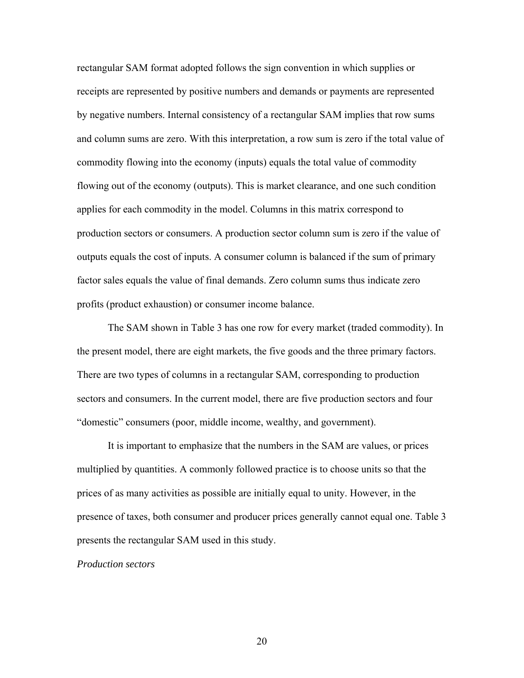rectangular SAM format adopted follows the sign convention in which supplies or receipts are represented by positive numbers and demands or payments are represented by negative numbers. Internal consistency of a rectangular SAM implies that row sums and column sums are zero. With this interpretation, a row sum is zero if the total value of commodity flowing into the economy (inputs) equals the total value of commodity flowing out of the economy (outputs). This is market clearance, and one such condition applies for each commodity in the model. Columns in this matrix correspond to production sectors or consumers. A production sector column sum is zero if the value of outputs equals the cost of inputs. A consumer column is balanced if the sum of primary factor sales equals the value of final demands. Zero column sums thus indicate zero profits (product exhaustion) or consumer income balance.

The SAM shown in Table 3 has one row for every market (traded commodity). In the present model, there are eight markets, the five goods and the three primary factors. There are two types of columns in a rectangular SAM, corresponding to production sectors and consumers. In the current model, there are five production sectors and four "domestic" consumers (poor, middle income, wealthy, and government).

It is important to emphasize that the numbers in the SAM are values, or prices multiplied by quantities. A commonly followed practice is to choose units so that the prices of as many activities as possible are initially equal to unity. However, in the presence of taxes, both consumer and producer prices generally cannot equal one. Table 3 presents the rectangular SAM used in this study.

## *Production sectors*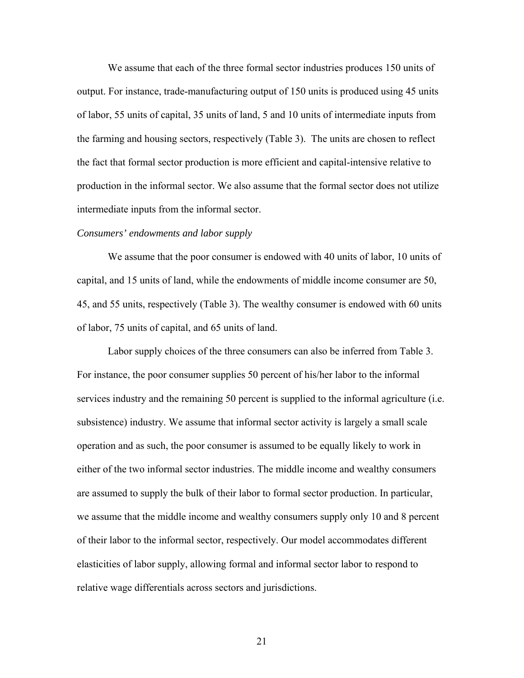We assume that each of the three formal sector industries produces 150 units of output. For instance, trade-manufacturing output of 150 units is produced using 45 units of labor, 55 units of capital, 35 units of land, 5 and 10 units of intermediate inputs from the farming and housing sectors, respectively (Table 3). The units are chosen to reflect the fact that formal sector production is more efficient and capital-intensive relative to production in the informal sector. We also assume that the formal sector does not utilize intermediate inputs from the informal sector.

#### *Consumers' endowments and labor supply*

We assume that the poor consumer is endowed with 40 units of labor, 10 units of capital, and 15 units of land, while the endowments of middle income consumer are 50, 45, and 55 units, respectively (Table 3). The wealthy consumer is endowed with 60 units of labor, 75 units of capital, and 65 units of land.

Labor supply choices of the three consumers can also be inferred from Table 3. For instance, the poor consumer supplies 50 percent of his/her labor to the informal services industry and the remaining 50 percent is supplied to the informal agriculture (i.e. subsistence) industry. We assume that informal sector activity is largely a small scale operation and as such, the poor consumer is assumed to be equally likely to work in either of the two informal sector industries. The middle income and wealthy consumers are assumed to supply the bulk of their labor to formal sector production. In particular, we assume that the middle income and wealthy consumers supply only 10 and 8 percent of their labor to the informal sector, respectively. Our model accommodates different elasticities of labor supply, allowing formal and informal sector labor to respond to relative wage differentials across sectors and jurisdictions.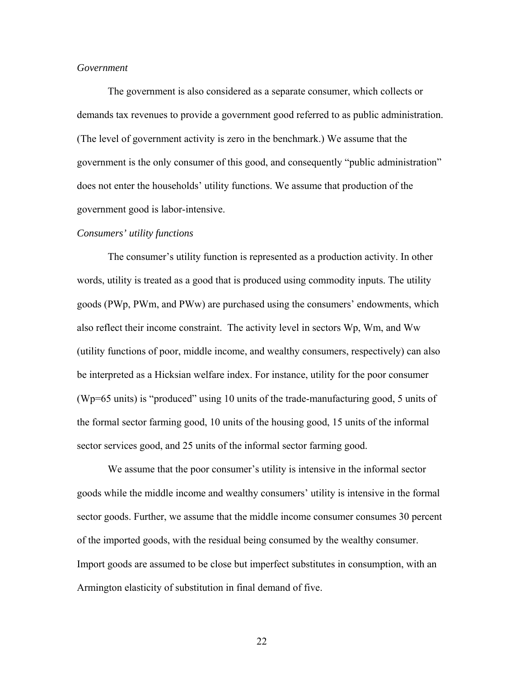# *Government*

The government is also considered as a separate consumer, which collects or demands tax revenues to provide a government good referred to as public administration. (The level of government activity is zero in the benchmark.) We assume that the government is the only consumer of this good, and consequently "public administration" does not enter the households' utility functions. We assume that production of the government good is labor-intensive.

#### *Consumers' utility functions*

The consumer's utility function is represented as a production activity. In other words, utility is treated as a good that is produced using commodity inputs. The utility goods (PWp, PWm, and PWw) are purchased using the consumers' endowments, which also reflect their income constraint. The activity level in sectors Wp, Wm, and Ww (utility functions of poor, middle income, and wealthy consumers, respectively) can also be interpreted as a Hicksian welfare index. For instance, utility for the poor consumer (Wp=65 units) is "produced" using 10 units of the trade-manufacturing good, 5 units of the formal sector farming good, 10 units of the housing good, 15 units of the informal sector services good, and 25 units of the informal sector farming good.

We assume that the poor consumer's utility is intensive in the informal sector goods while the middle income and wealthy consumers' utility is intensive in the formal sector goods. Further, we assume that the middle income consumer consumes 30 percent of the imported goods, with the residual being consumed by the wealthy consumer. Import goods are assumed to be close but imperfect substitutes in consumption, with an Armington elasticity of substitution in final demand of five.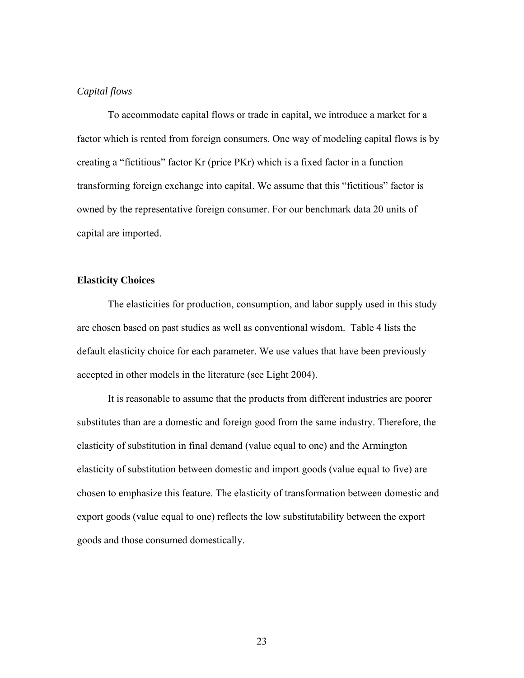# *Capital flows*

To accommodate capital flows or trade in capital, we introduce a market for a factor which is rented from foreign consumers. One way of modeling capital flows is by creating a "fictitious" factor Kr (price PKr) which is a fixed factor in a function transforming foreign exchange into capital. We assume that this "fictitious" factor is owned by the representative foreign consumer. For our benchmark data 20 units of capital are imported.

# **Elasticity Choices**

 The elasticities for production, consumption, and labor supply used in this study are chosen based on past studies as well as conventional wisdom. Table 4 lists the default elasticity choice for each parameter. We use values that have been previously accepted in other models in the literature (see Light 2004).

 It is reasonable to assume that the products from different industries are poorer substitutes than are a domestic and foreign good from the same industry. Therefore, the elasticity of substitution in final demand (value equal to one) and the Armington elasticity of substitution between domestic and import goods (value equal to five) are chosen to emphasize this feature. The elasticity of transformation between domestic and export goods (value equal to one) reflects the low substitutability between the export goods and those consumed domestically.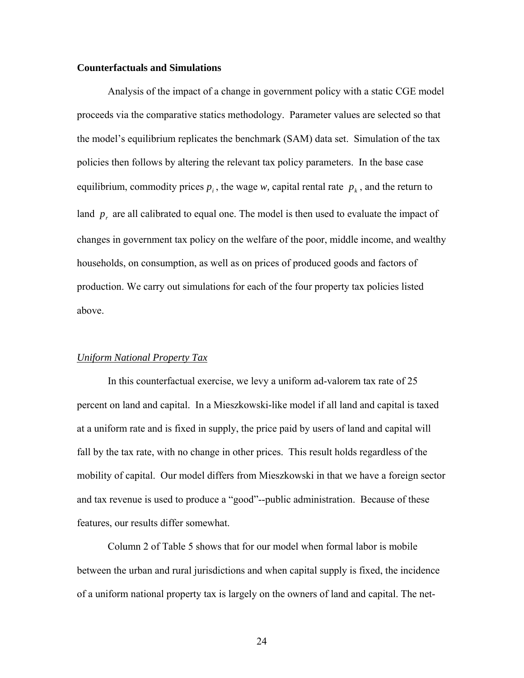# **Counterfactuals and Simulations**

Analysis of the impact of a change in government policy with a static CGE model proceeds via the comparative statics methodology. Parameter values are selected so that the model's equilibrium replicates the benchmark (SAM) data set. Simulation of the tax policies then follows by altering the relevant tax policy parameters. In the base case equilibrium, commodity prices  $p_i$ , the wage *w*, capital rental rate  $p_k$ , and the return to land  $p_r$  are all calibrated to equal one. The model is then used to evaluate the impact of changes in government tax policy on the welfare of the poor, middle income, and wealthy households, on consumption, as well as on prices of produced goods and factors of production. We carry out simulations for each of the four property tax policies listed above.

# *Uniform National Property Tax*

In this counterfactual exercise, we levy a uniform ad-valorem tax rate of 25 percent on land and capital. In a Mieszkowski-like model if all land and capital is taxed at a uniform rate and is fixed in supply, the price paid by users of land and capital will fall by the tax rate, with no change in other prices. This result holds regardless of the mobility of capital. Our model differs from Mieszkowski in that we have a foreign sector and tax revenue is used to produce a "good"--public administration. Because of these features, our results differ somewhat.

Column 2 of Table 5 shows that for our model when formal labor is mobile between the urban and rural jurisdictions and when capital supply is fixed, the incidence of a uniform national property tax is largely on the owners of land and capital. The net-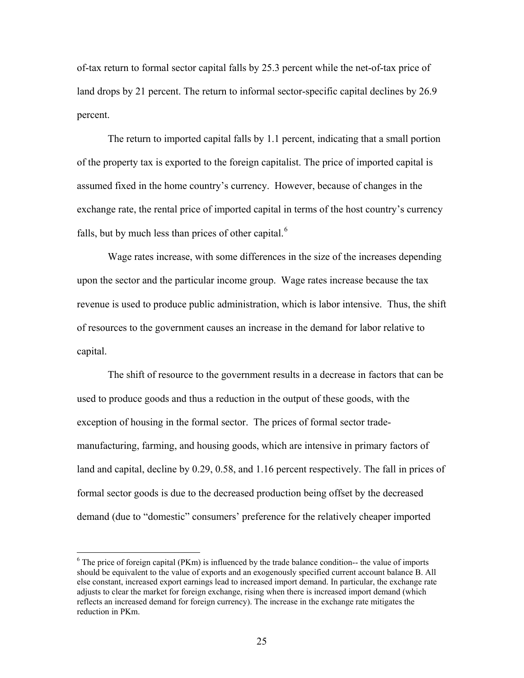<span id="page-26-0"></span>of-tax return to formal sector capital falls by 25.3 percent while the net-of-tax price of land drops by 21 percent. The return to informal sector-specific capital declines by 26.9 percent.

The return to imported capital falls by 1.1 percent, indicating that a small portion of the property tax is exported to the foreign capitalist. The price of imported capital is assumed fixed in the home country's currency. However, because of changes in the exchange rate, the rental price of imported capital in terms of the host country's currency falls, but by much less than prices of other capital. $<sup>6</sup>$  $<sup>6</sup>$  $<sup>6</sup>$ </sup>

Wage rates increase, with some differences in the size of the increases depending upon the sector and the particular income group. Wage rates increase because the tax revenue is used to produce public administration, which is labor intensive. Thus, the shift of resources to the government causes an increase in the demand for labor relative to capital.

The shift of resource to the government results in a decrease in factors that can be used to produce goods and thus a reduction in the output of these goods, with the exception of housing in the formal sector. The prices of formal sector trademanufacturing, farming, and housing goods, which are intensive in primary factors of land and capital, decline by 0.29, 0.58, and 1.16 percent respectively. The fall in prices of formal sector goods is due to the decreased production being offset by the decreased demand (due to "domestic" consumers' preference for the relatively cheaper imported

 $\overline{a}$ 

 $6$  The price of foreign capital (PKm) is influenced by the trade balance condition-- the value of imports should be equivalent to the value of exports and an exogenously specified current account balance B. All else constant, increased export earnings lead to increased import demand. In particular, the exchange rate adjusts to clear the market for foreign exchange, rising when there is increased import demand (which reflects an increased demand for foreign currency). The increase in the exchange rate mitigates the reduction in PKm.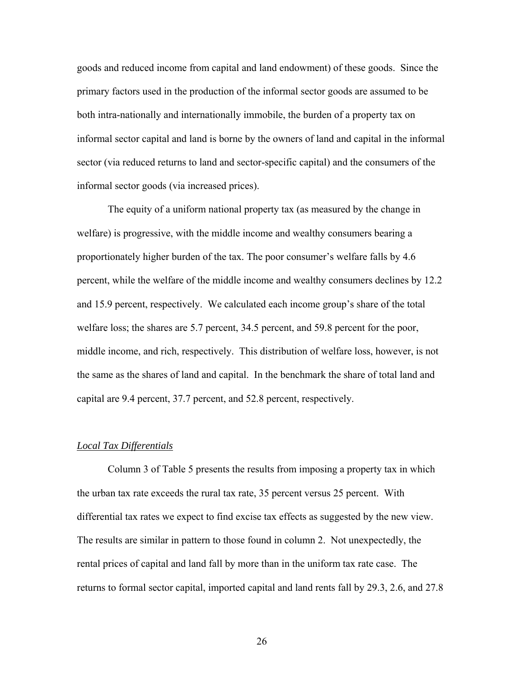goods and reduced income from capital and land endowment) of these goods. Since the primary factors used in the production of the informal sector goods are assumed to be both intra-nationally and internationally immobile, the burden of a property tax on informal sector capital and land is borne by the owners of land and capital in the informal sector (via reduced returns to land and sector-specific capital) and the consumers of the informal sector goods (via increased prices).

The equity of a uniform national property tax (as measured by the change in welfare) is progressive, with the middle income and wealthy consumers bearing a proportionately higher burden of the tax. The poor consumer's welfare falls by 4.6 percent, while the welfare of the middle income and wealthy consumers declines by 12.2 and 15.9 percent, respectively. We calculated each income group's share of the total welfare loss; the shares are 5.7 percent, 34.5 percent, and 59.8 percent for the poor, middle income, and rich, respectively. This distribution of welfare loss, however, is not the same as the shares of land and capital. In the benchmark the share of total land and capital are 9.4 percent, 37.7 percent, and 52.8 percent, respectively.

# *Local Tax Differentials*

Column 3 of Table 5 presents the results from imposing a property tax in which the urban tax rate exceeds the rural tax rate, 35 percent versus 25 percent. With differential tax rates we expect to find excise tax effects as suggested by the new view. The results are similar in pattern to those found in column 2. Not unexpectedly, the rental prices of capital and land fall by more than in the uniform tax rate case. The returns to formal sector capital, imported capital and land rents fall by 29.3, 2.6, and 27.8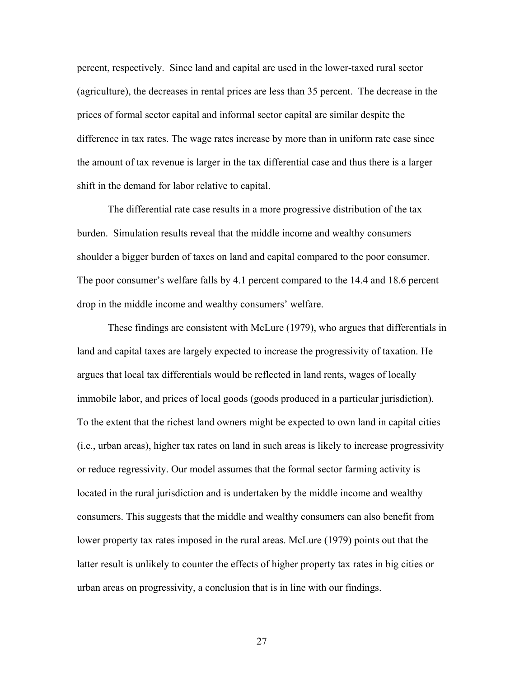percent, respectively. Since land and capital are used in the lower-taxed rural sector (agriculture), the decreases in rental prices are less than 35 percent. The decrease in the prices of formal sector capital and informal sector capital are similar despite the difference in tax rates. The wage rates increase by more than in uniform rate case since the amount of tax revenue is larger in the tax differential case and thus there is a larger shift in the demand for labor relative to capital.

The differential rate case results in a more progressive distribution of the tax burden. Simulation results reveal that the middle income and wealthy consumers shoulder a bigger burden of taxes on land and capital compared to the poor consumer. The poor consumer's welfare falls by 4.1 percent compared to the 14.4 and 18.6 percent drop in the middle income and wealthy consumers' welfare.

These findings are consistent with McLure (1979), who argues that differentials in land and capital taxes are largely expected to increase the progressivity of taxation. He argues that local tax differentials would be reflected in land rents, wages of locally immobile labor, and prices of local goods (goods produced in a particular jurisdiction). To the extent that the richest land owners might be expected to own land in capital cities (i.e., urban areas), higher tax rates on land in such areas is likely to increase progressivity or reduce regressivity. Our model assumes that the formal sector farming activity is located in the rural jurisdiction and is undertaken by the middle income and wealthy consumers. This suggests that the middle and wealthy consumers can also benefit from lower property tax rates imposed in the rural areas. McLure (1979) points out that the latter result is unlikely to counter the effects of higher property tax rates in big cities or urban areas on progressivity, a conclusion that is in line with our findings.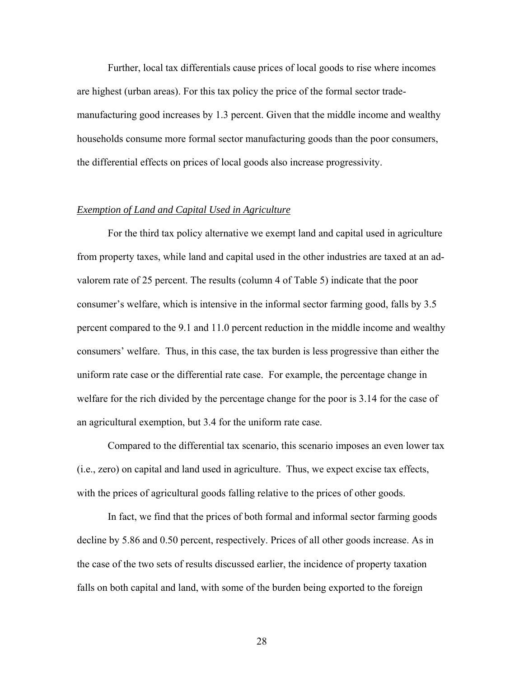Further, local tax differentials cause prices of local goods to rise where incomes are highest (urban areas). For this tax policy the price of the formal sector trademanufacturing good increases by 1.3 percent. Given that the middle income and wealthy households consume more formal sector manufacturing goods than the poor consumers, the differential effects on prices of local goods also increase progressivity.

# *Exemption of Land and Capital Used in Agriculture*

For the third tax policy alternative we exempt land and capital used in agriculture from property taxes, while land and capital used in the other industries are taxed at an advalorem rate of 25 percent. The results (column 4 of Table 5) indicate that the poor consumer's welfare, which is intensive in the informal sector farming good, falls by 3.5 percent compared to the 9.1 and 11.0 percent reduction in the middle income and wealthy consumers' welfare. Thus, in this case, the tax burden is less progressive than either the uniform rate case or the differential rate case. For example, the percentage change in welfare for the rich divided by the percentage change for the poor is 3.14 for the case of an agricultural exemption, but 3.4 for the uniform rate case.

Compared to the differential tax scenario, this scenario imposes an even lower tax (i.e., zero) on capital and land used in agriculture. Thus, we expect excise tax effects, with the prices of agricultural goods falling relative to the prices of other goods.

In fact, we find that the prices of both formal and informal sector farming goods decline by 5.86 and 0.50 percent, respectively. Prices of all other goods increase. As in the case of the two sets of results discussed earlier, the incidence of property taxation falls on both capital and land, with some of the burden being exported to the foreign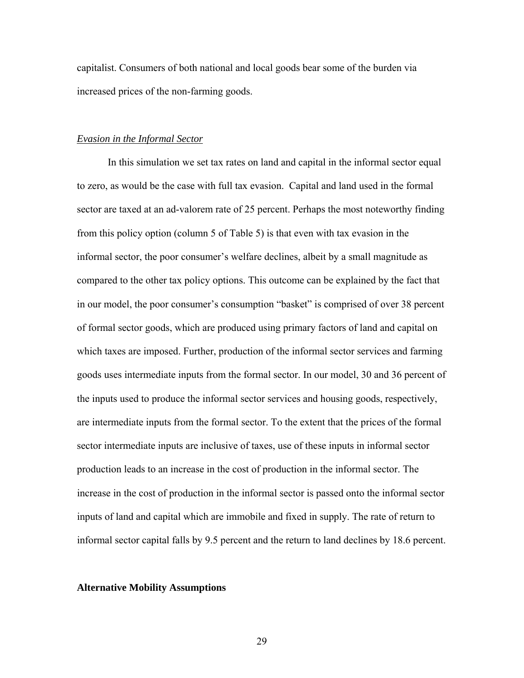capitalist. Consumers of both national and local goods bear some of the burden via increased prices of the non-farming goods.

# *Evasion in the Informal Sector*

In this simulation we set tax rates on land and capital in the informal sector equal to zero, as would be the case with full tax evasion. Capital and land used in the formal sector are taxed at an ad-valorem rate of 25 percent. Perhaps the most noteworthy finding from this policy option (column 5 of Table 5) is that even with tax evasion in the informal sector, the poor consumer's welfare declines, albeit by a small magnitude as compared to the other tax policy options. This outcome can be explained by the fact that in our model, the poor consumer's consumption "basket" is comprised of over 38 percent of formal sector goods, which are produced using primary factors of land and capital on which taxes are imposed. Further, production of the informal sector services and farming goods uses intermediate inputs from the formal sector. In our model, 30 and 36 percent of the inputs used to produce the informal sector services and housing goods, respectively, are intermediate inputs from the formal sector. To the extent that the prices of the formal sector intermediate inputs are inclusive of taxes, use of these inputs in informal sector production leads to an increase in the cost of production in the informal sector. The increase in the cost of production in the informal sector is passed onto the informal sector inputs of land and capital which are immobile and fixed in supply. The rate of return to informal sector capital falls by 9.5 percent and the return to land declines by 18.6 percent.

#### **Alternative Mobility Assumptions**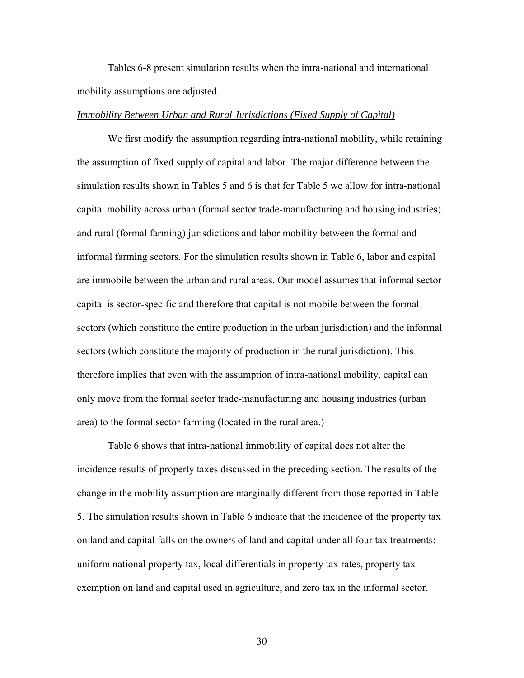Tables 6-8 present simulation results when the intra-national and international mobility assumptions are adjusted.

# *Immobility Between Urban and Rural Jurisdictions (Fixed Supply of Capital)*

We first modify the assumption regarding intra-national mobility, while retaining the assumption of fixed supply of capital and labor. The major difference between the simulation results shown in Tables 5 and 6 is that for Table 5 we allow for intra-national capital mobility across urban (formal sector trade-manufacturing and housing industries) and rural (formal farming) jurisdictions and labor mobility between the formal and informal farming sectors. For the simulation results shown in Table 6, labor and capital are immobile between the urban and rural areas. Our model assumes that informal sector capital is sector-specific and therefore that capital is not mobile between the formal sectors (which constitute the entire production in the urban jurisdiction) and the informal sectors (which constitute the majority of production in the rural jurisdiction). This therefore implies that even with the assumption of intra-national mobility, capital can only move from the formal sector trade-manufacturing and housing industries (urban area) to the formal sector farming (located in the rural area.)

Table 6 shows that intra-national immobility of capital does not alter the incidence results of property taxes discussed in the preceding section. The results of the change in the mobility assumption are marginally different from those reported in Table 5. The simulation results shown in Table 6 indicate that the incidence of the property tax on land and capital falls on the owners of land and capital under all four tax treatments: uniform national property tax, local differentials in property tax rates, property tax exemption on land and capital used in agriculture, and zero tax in the informal sector.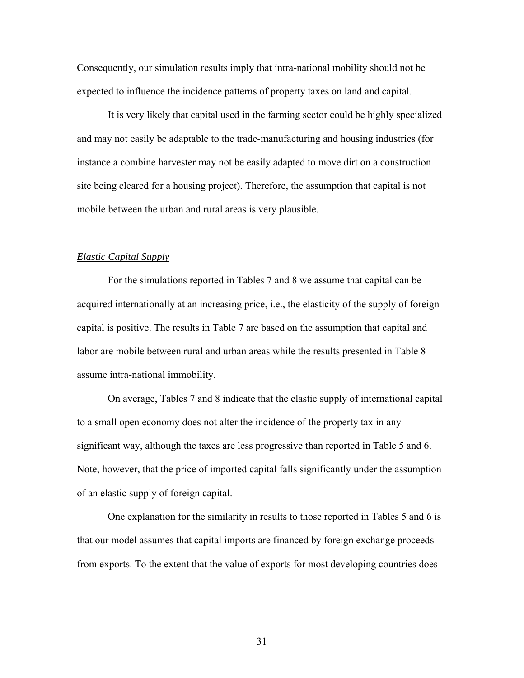Consequently, our simulation results imply that intra-national mobility should not be expected to influence the incidence patterns of property taxes on land and capital.

It is very likely that capital used in the farming sector could be highly specialized and may not easily be adaptable to the trade-manufacturing and housing industries (for instance a combine harvester may not be easily adapted to move dirt on a construction site being cleared for a housing project). Therefore, the assumption that capital is not mobile between the urban and rural areas is very plausible.

# *Elastic Capital Supply*

For the simulations reported in Tables 7 and 8 we assume that capital can be acquired internationally at an increasing price, i.e., the elasticity of the supply of foreign capital is positive. The results in Table 7 are based on the assumption that capital and labor are mobile between rural and urban areas while the results presented in Table 8 assume intra-national immobility.

On average, Tables 7 and 8 indicate that the elastic supply of international capital to a small open economy does not alter the incidence of the property tax in any significant way, although the taxes are less progressive than reported in Table 5 and 6. Note, however, that the price of imported capital falls significantly under the assumption of an elastic supply of foreign capital.

One explanation for the similarity in results to those reported in Tables 5 and 6 is that our model assumes that capital imports are financed by foreign exchange proceeds from exports. To the extent that the value of exports for most developing countries does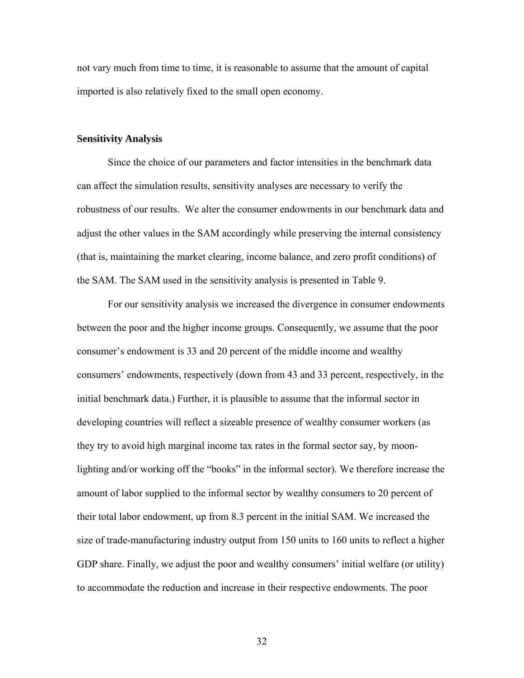not vary much from time to time, it is reasonable to assume that the amount of capital imported is also relatively fixed to the small open economy.

# **Sensitivity Analysis**

Since the choice of our parameters and factor intensities in the benchmark data can affect the simulation results, sensitivity analyses are necessary to verify the robustness of our results. We alter the consumer endowments in our benchmark data and adjust the other values in the SAM accordingly while preserving the internal consistency (that is, maintaining the market clearing, income balance, and zero profit conditions) of the SAM. The SAM used in the sensitivity analysis is presented in Table 9.

For our sensitivity analysis we increased the divergence in consumer endowments between the poor and the higher income groups. Consequently, we assume that the poor consumer's endowment is 33 and 20 percent of the middle income and wealthy consumers' endowments, respectively (down from 43 and 33 percent, respectively, in the initial benchmark data.) Further, it is plausible to assume that the informal sector in developing countries will reflect a sizeable presence of wealthy consumer workers (as they try to avoid high marginal income tax rates in the formal sector say, by moonlighting and/or working off the "books" in the informal sector). We therefore increase the amount of labor supplied to the informal sector by wealthy consumers to 20 percent of their total labor endowment, up from 8.3 percent in the initial SAM. We increased the size of trade-manufacturing industry output from 150 units to 160 units to reflect a higher GDP share. Finally, we adjust the poor and wealthy consumers' initial welfare (or utility) to accommodate the reduction and increase in their respective endowments. The poor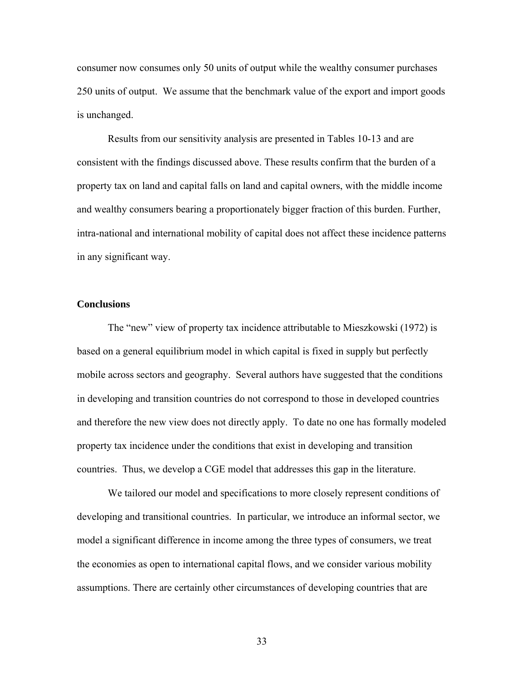consumer now consumes only 50 units of output while the wealthy consumer purchases 250 units of output. We assume that the benchmark value of the export and import goods is unchanged.

Results from our sensitivity analysis are presented in Tables 10-13 and are consistent with the findings discussed above. These results confirm that the burden of a property tax on land and capital falls on land and capital owners, with the middle income and wealthy consumers bearing a proportionately bigger fraction of this burden. Further, intra-national and international mobility of capital does not affect these incidence patterns in any significant way.

# **Conclusions**

The "new" view of property tax incidence attributable to Mieszkowski (1972) is based on a general equilibrium model in which capital is fixed in supply but perfectly mobile across sectors and geography. Several authors have suggested that the conditions in developing and transition countries do not correspond to those in developed countries and therefore the new view does not directly apply. To date no one has formally modeled property tax incidence under the conditions that exist in developing and transition countries. Thus, we develop a CGE model that addresses this gap in the literature.

We tailored our model and specifications to more closely represent conditions of developing and transitional countries. In particular, we introduce an informal sector, we model a significant difference in income among the three types of consumers, we treat the economies as open to international capital flows, and we consider various mobility assumptions. There are certainly other circumstances of developing countries that are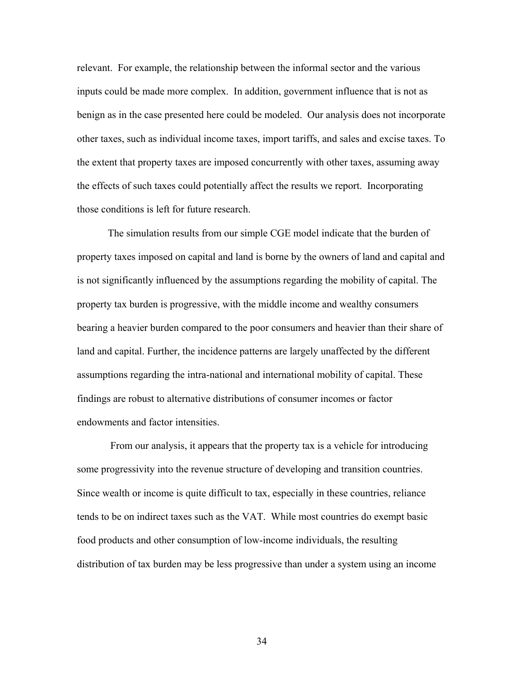relevant. For example, the relationship between the informal sector and the various inputs could be made more complex. In addition, government influence that is not as benign as in the case presented here could be modeled. Our analysis does not incorporate other taxes, such as individual income taxes, import tariffs, and sales and excise taxes. To the extent that property taxes are imposed concurrently with other taxes, assuming away the effects of such taxes could potentially affect the results we report. Incorporating those conditions is left for future research.

The simulation results from our simple CGE model indicate that the burden of property taxes imposed on capital and land is borne by the owners of land and capital and is not significantly influenced by the assumptions regarding the mobility of capital. The property tax burden is progressive, with the middle income and wealthy consumers bearing a heavier burden compared to the poor consumers and heavier than their share of land and capital. Further, the incidence patterns are largely unaffected by the different assumptions regarding the intra-national and international mobility of capital. These findings are robust to alternative distributions of consumer incomes or factor endowments and factor intensities.

 From our analysis, it appears that the property tax is a vehicle for introducing some progressivity into the revenue structure of developing and transition countries. Since wealth or income is quite difficult to tax, especially in these countries, reliance tends to be on indirect taxes such as the VAT. While most countries do exempt basic food products and other consumption of low-income individuals, the resulting distribution of tax burden may be less progressive than under a system using an income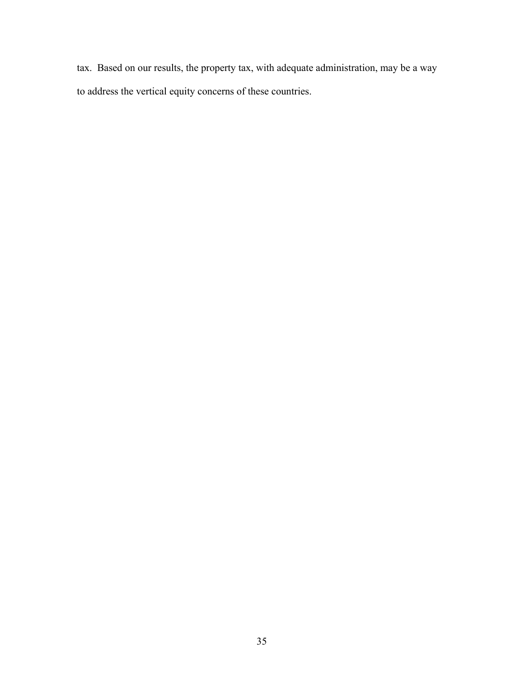tax. Based on our results, the property tax, with adequate administration, may be a way to address the vertical equity concerns of these countries.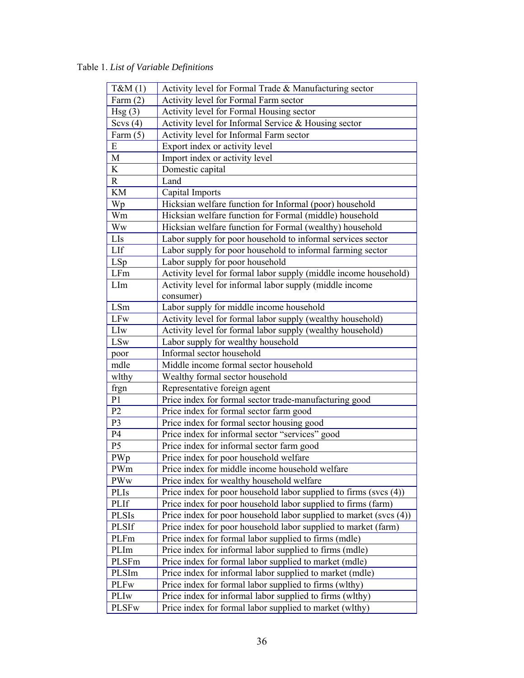Table 1. *List of Variable Definitions* 

| $T\&M(1)$      | Activity level for Formal Trade & Manufacturing sector               |
|----------------|----------------------------------------------------------------------|
| Farm $(2)$     | Activity level for Formal Farm sector                                |
| Hsg(3)         | Activity level for Formal Housing sector                             |
| Scvs $(4)$     | Activity level for Informal Service & Housing sector                 |
| Farm $(5)$     | Activity level for Informal Farm sector                              |
| E              | Export index or activity level                                       |
| M              | Import index or activity level                                       |
| K              | Domestic capital                                                     |
| $\mathbf R$    | Land                                                                 |
| KM             | Capital Imports                                                      |
| Wp             | Hicksian welfare function for Informal (poor) household              |
| Wm             | Hicksian welfare function for Formal (middle) household              |
| Ww             | Hicksian welfare function for Formal (wealthy) household             |
| LIs            | Labor supply for poor household to informal services sector          |
| LIf            | Labor supply for poor household to informal farming sector           |
| LSp            | Labor supply for poor household                                      |
| LFm            | Activity level for formal labor supply (middle income household)     |
| LIm            | Activity level for informal labor supply (middle income              |
|                | consumer)                                                            |
| LSm            | Labor supply for middle income household                             |
| <b>LFw</b>     | Activity level for formal labor supply (wealthy household)           |
| LIw            | Activity level for formal labor supply (wealthy household)           |
| <b>LSw</b>     | Labor supply for wealthy household                                   |
| poor           | Informal sector household                                            |
| mdle           | Middle income formal sector household                                |
| wlthy          | Wealthy formal sector household                                      |
| frgn           | Representative foreign agent                                         |
| P <sub>1</sub> | Price index for formal sector trade-manufacturing good               |
| P <sub>2</sub> | Price index for formal sector farm good                              |
| P <sub>3</sub> | Price index for formal sector housing good                           |
| P4             | Price index for informal sector "services" good                      |
| P <sub>5</sub> | Price index for informal sector farm good                            |
| PWp            | Price index for poor household welfare                               |
| PWm            | Price index for middle income household welfare                      |
| PWw            | Price index for wealthy household welfare                            |
| PLIs           | Price index for poor household labor supplied to firms (svcs $(4)$ ) |
| PLIf           | Price index for poor household labor supplied to firms (farm)        |
|                |                                                                      |
| <b>PLSIs</b>   | Price index for poor household labor supplied to market (svcs (4))   |
| <b>PLSIf</b>   | Price index for poor household labor supplied to market (farm)       |
| PLFm           | Price index for formal labor supplied to firms (mdle)                |
| PLIm           | Price index for informal labor supplied to firms (mdle)              |
| PLSFm          | Price index for formal labor supplied to market (mdle)               |
| PLSIm          | Price index for informal labor supplied to market (mdle)             |
| <b>PLFw</b>    | Price index for formal labor supplied to firms (wlthy)               |
| PLIw           | Price index for informal labor supplied to firms (wlthy)             |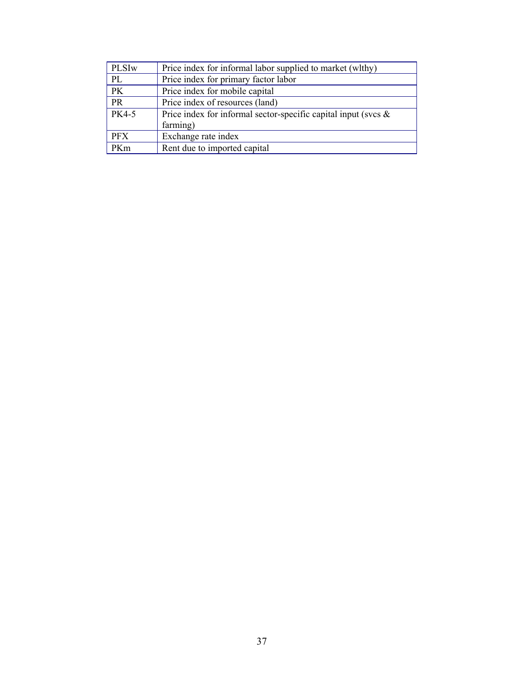| PLSI <sub>w</sub> | Price index for informal labor supplied to market (wlthy)         |
|-------------------|-------------------------------------------------------------------|
| PL                | Price index for primary factor labor                              |
| $\overline{PK}$   | Price index for mobile capital                                    |
| <b>PR</b>         | Price index of resources (land)                                   |
| <b>PK4-5</b>      | Price index for informal sector-specific capital input (svcs $\&$ |
|                   | farming)                                                          |
| <b>PFX</b>        | Exchange rate index                                               |
| PKm               | Rent due to imported capital                                      |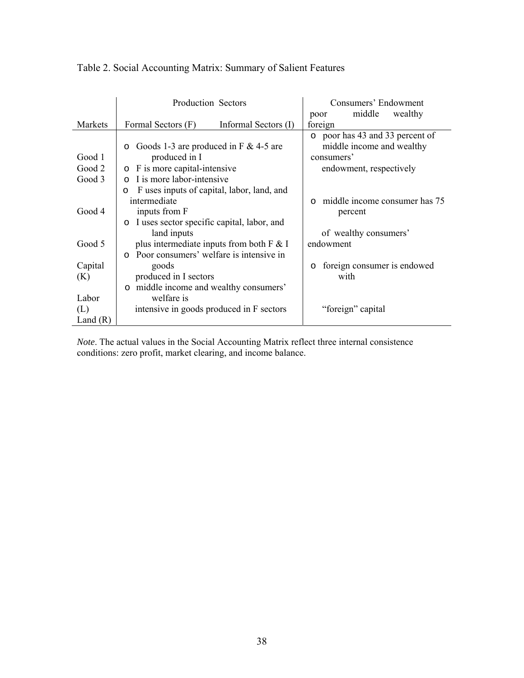|            | <b>Production Sectors</b>                                           | Consumers' Endowment                                                       |  |  |  |  |
|------------|---------------------------------------------------------------------|----------------------------------------------------------------------------|--|--|--|--|
|            |                                                                     | middle<br>wealthy<br>poor                                                  |  |  |  |  |
| Markets    | Formal Sectors (F)<br>Informal Sectors (I)                          | foreign                                                                    |  |  |  |  |
| Good 1     | Goods 1-3 are produced in F $&$ 4-5 are<br>$\circ$<br>produced in I | o poor has 43 and 33 percent of<br>middle income and wealthy<br>consumers' |  |  |  |  |
| Good 2     | F is more capital-intensive<br>$\circ$                              | endowment, respectively                                                    |  |  |  |  |
| Good 3     | I is more labor-intensive<br>$\bigcap$                              |                                                                            |  |  |  |  |
|            | F uses inputs of capital, labor, land, and<br>$\circ$               |                                                                            |  |  |  |  |
|            | intermediate                                                        | middle income consumer has 75<br>$\circ$                                   |  |  |  |  |
| Good 4     | inputs from F                                                       | percent                                                                    |  |  |  |  |
|            | o I uses sector specific capital, labor, and                        |                                                                            |  |  |  |  |
|            | land inputs                                                         | of wealthy consumers'                                                      |  |  |  |  |
| Good 5     | plus intermediate inputs from both $F \& I$                         | endowment                                                                  |  |  |  |  |
|            | Poor consumers' welfare is intensive in<br>$\Omega$                 |                                                                            |  |  |  |  |
| Capital    | goods                                                               | foreign consumer is endowed<br>$\circ$                                     |  |  |  |  |
| (K)        | produced in I sectors                                               | with                                                                       |  |  |  |  |
|            | middle income and wealthy consumers'<br>$\circ$                     |                                                                            |  |  |  |  |
| Labor      | welfare is                                                          |                                                                            |  |  |  |  |
| (L)        | intensive in goods produced in F sectors                            | "foreign" capital                                                          |  |  |  |  |
| Land $(R)$ |                                                                     |                                                                            |  |  |  |  |

# Table 2. Social Accounting Matrix: Summary of Salient Features

*Note*. The actual values in the Social Accounting Matrix reflect three internal consistence conditions: zero profit, market clearing, and income balance.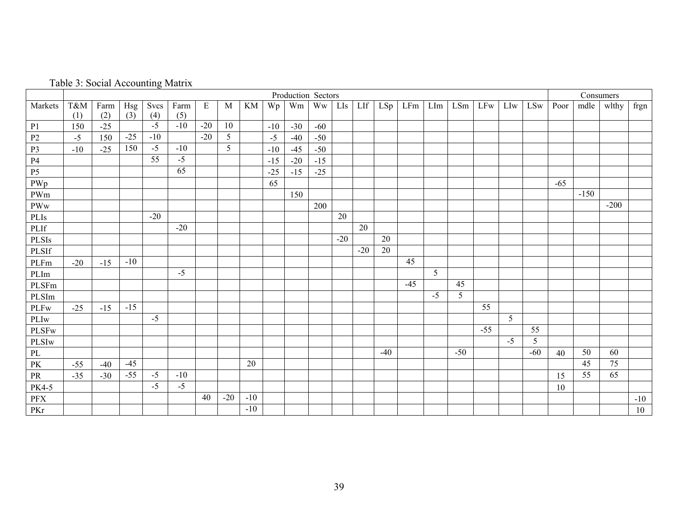|  | Table 3: Social Accounting Matrix |  |
|--|-----------------------------------|--|
|  |                                   |  |

|                        | Production Sectors<br>Consumers |       |       |                    |       |       |                 |       |       |       |       |       |       |       |       |                |       |            |      |            |       |        |        |       |
|------------------------|---------------------------------|-------|-------|--------------------|-------|-------|-----------------|-------|-------|-------|-------|-------|-------|-------|-------|----------------|-------|------------|------|------------|-------|--------|--------|-------|
| Markets                | T&M                             | Farm  | Hsg   | Svcs               | Farm  | E     | M               | KM    | Wp    | Wm    | Ww    | LIs   | LIf   | LSp   | LFm   | LIm            | LSm   | <b>LFw</b> | LIw  | <b>LSw</b> | Poor  | mdle   | wlthy  | frgn  |
|                        | (1)                             | (2)   | (3)   | (4)                | (5)   |       |                 |       |       |       |       |       |       |       |       |                |       |            |      |            |       |        |        |       |
| P1                     | 150                             | $-25$ |       | $-5$               | $-10$ | $-20$ | 10              |       | $-10$ | $-30$ | $-60$ |       |       |       |       |                |       |            |      |            |       |        |        |       |
| P <sub>2</sub>         | $-5$                            | 150   | $-25$ | $-10$              |       | $-20$ | $5\overline{)}$ |       | $-5$  | $-40$ | $-50$ |       |       |       |       |                |       |            |      |            |       |        |        |       |
| P <sub>3</sub>         | $-10$                           | $-25$ | 150   | $-5$               | $-10$ |       | 5               |       | $-10$ | $-45$ | $-50$ |       |       |       |       |                |       |            |      |            |       |        |        |       |
| P <sub>4</sub>         |                                 |       |       | 55                 | $-5$  |       |                 |       | $-15$ | $-20$ | $-15$ |       |       |       |       |                |       |            |      |            |       |        |        |       |
| P <sub>5</sub>         |                                 |       |       |                    | 65    |       |                 |       | $-25$ | $-15$ | $-25$ |       |       |       |       |                |       |            |      |            |       |        |        |       |
| PWp                    |                                 |       |       |                    |       |       |                 |       | 65    |       |       |       |       |       |       |                |       |            |      |            | $-65$ |        |        |       |
| PWm                    |                                 |       |       |                    |       |       |                 |       |       | 150   |       |       |       |       |       |                |       |            |      |            |       | $-150$ |        |       |
| <b>PWw</b>             |                                 |       |       |                    |       |       |                 |       |       |       | 200   |       |       |       |       |                |       |            |      |            |       |        | $-200$ |       |
| PLIs                   |                                 |       |       | $-20$              |       |       |                 |       |       |       |       | 20    |       |       |       |                |       |            |      |            |       |        |        |       |
| PLIf                   |                                 |       |       |                    | $-20$ |       |                 |       |       |       |       |       | 20    |       |       |                |       |            |      |            |       |        |        |       |
| <b>PLSIs</b>           |                                 |       |       |                    |       |       |                 |       |       |       |       | $-20$ |       | 20    |       |                |       |            |      |            |       |        |        |       |
| $\rm PLSIf$            |                                 |       |       |                    |       |       |                 |       |       |       |       |       | $-20$ | 20    |       |                |       |            |      |            |       |        |        |       |
| PLFm                   | $-20$                           | $-15$ | $-10$ |                    |       |       |                 |       |       |       |       |       |       |       | 45    |                |       |            |      |            |       |        |        |       |
| PLIm                   |                                 |       |       |                    | $-5$  |       |                 |       |       |       |       |       |       |       |       | 5 <sup>5</sup> |       |            |      |            |       |        |        |       |
| PLSFm                  |                                 |       |       |                    |       |       |                 |       |       |       |       |       |       |       | $-45$ |                | 45    |            |      |            |       |        |        |       |
| PLSIm                  |                                 |       |       |                    |       |       |                 |       |       |       |       |       |       |       |       | $-5$           | 5     |            |      |            |       |        |        |       |
| $\rm PLFw$             | $-25$                           | $-15$ | $-15$ |                    |       |       |                 |       |       |       |       |       |       |       |       |                |       | 55         |      |            |       |        |        |       |
| PLIw                   |                                 |       |       | $-5$               |       |       |                 |       |       |       |       |       |       |       |       |                |       |            | 5    |            |       |        |        |       |
| PLSFw                  |                                 |       |       |                    |       |       |                 |       |       |       |       |       |       |       |       |                |       | $-55$      |      | 55         |       |        |        |       |
| PLSIw                  |                                 |       |       |                    |       |       |                 |       |       |       |       |       |       |       |       |                |       |            | $-5$ | 5          |       |        |        |       |
| PL                     |                                 |       |       |                    |       |       |                 |       |       |       |       |       |       | $-40$ |       |                | $-50$ |            |      | $-60$      | 40    | 50     | 60     |       |
| $\mathbf{P}\mathbf{K}$ | $-55$                           | $-40$ | $-45$ |                    |       |       |                 | 20    |       |       |       |       |       |       |       |                |       |            |      |            |       | 45     | 75     |       |
| PR                     | $-35$                           | $-30$ | $-55$ | $-5$               | $-10$ |       |                 |       |       |       |       |       |       |       |       |                |       |            |      |            | 15    | 55     | 65     |       |
| PK4-5                  |                                 |       |       | $\overline{\cdot}$ | $-5$  |       |                 |       |       |       |       |       |       |       |       |                |       |            |      |            | 10    |        |        |       |
| ${\rm PFX}$            |                                 |       |       |                    |       | 40    | $-20$           | $-10$ |       |       |       |       |       |       |       |                |       |            |      |            |       |        |        | $-10$ |
| PKr                    |                                 |       |       |                    |       |       |                 | $-10$ |       |       |       |       |       |       |       |                |       |            |      |            |       |        |        | 10    |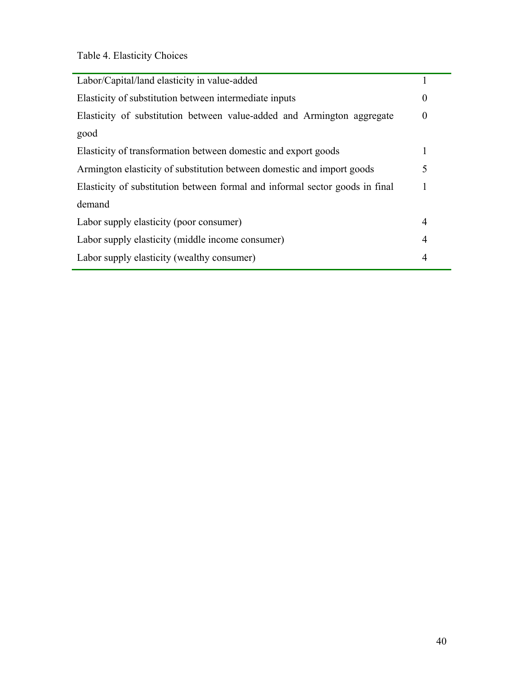Table 4. Elasticity Choices

| Labor/Capital/land elasticity in value-added                                 |                  |
|------------------------------------------------------------------------------|------------------|
| Elasticity of substitution between intermediate inputs                       | $\theta$         |
| Elasticity of substitution between value-added and Armington aggregate       | $\boldsymbol{0}$ |
| good                                                                         |                  |
| Elasticity of transformation between domestic and export goods               |                  |
| Armington elasticity of substitution between domestic and import goods       | 5                |
| Elasticity of substitution between formal and informal sector goods in final |                  |
| demand                                                                       |                  |
| Labor supply elasticity (poor consumer)                                      | $\overline{4}$   |
| Labor supply elasticity (middle income consumer)                             | 4                |
| Labor supply elasticity (wealthy consumer)                                   | $\overline{4}$   |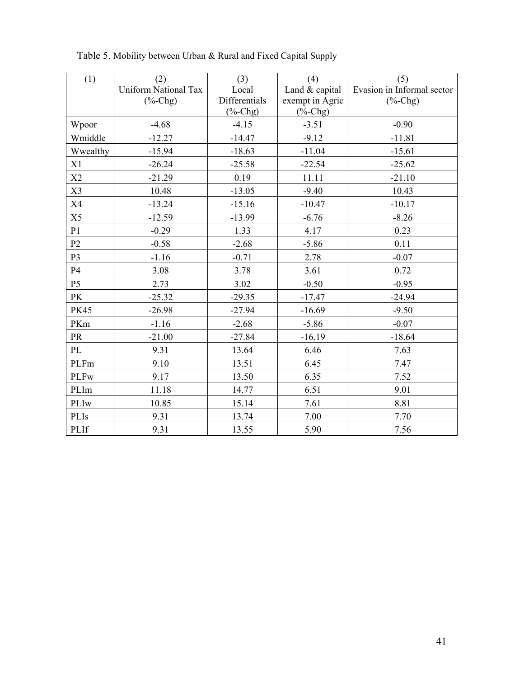| (1)            | (2)                         | (3)             | (4)                               | (5)                                                       |
|----------------|-----------------------------|-----------------|-----------------------------------|-----------------------------------------------------------|
|                | <b>Uniform National Tax</b> | Local           | Land & capital                    | Evasion in Informal sector                                |
|                | $(% f)$ (%-Chg)             | Differentials   | exempt in Agric                   | $(% ^{0}\mathsf{C}^{\prime }\mathsf{C}^{\prime }$ (%-Chg) |
|                |                             | $(% f)$ (%-Chg) | $(% ^{0}(-C)$ <sub>(%</sub> -Chg) |                                                           |
| Wpoor          | $-4.68$                     | $-4.15$         | $-3.51$                           | $-0.90$                                                   |
| Wmiddle        | $-12.27$                    | $-14.47$        | $-9.12$                           | $-11.81$                                                  |
| Wwealthy       | $-15.94$                    | $-18.63$        | $-11.04$                          | $-15.61$                                                  |
| X1             | $-26.24$                    | $-25.58$        | $-22.54$                          | $-25.62$                                                  |
| X2             | $-21.29$                    | 0.19            | 11.11                             | $-21.10$                                                  |
| X3             | 10.48                       | $-13.05$        | $-9.40$                           | 10.43                                                     |
| X4             | $-13.24$                    | $-15.16$        | $-10.47$                          | $-10.17$                                                  |
| X5             | $-12.59$                    | $-13.99$        | $-6.76$                           | $-8.26$                                                   |
| P1             | $-0.29$                     | 1.33            | 4.17                              | 0.23                                                      |
| P <sub>2</sub> | $-0.58$                     | $-2.68$         | $-5.86$                           | 0.11                                                      |
| P <sub>3</sub> | $-1.16$                     | $-0.71$         | 2.78                              | $-0.07$                                                   |
| P4             | 3.08                        | 3.78            | 3.61                              | 0.72                                                      |
| P <sub>5</sub> | 2.73                        | 3.02            | $-0.50$                           | $-0.95$                                                   |
| <b>PK</b>      | $-25.32$                    | $-29.35$        | $-17.47$                          | $-24.94$                                                  |
| <b>PK45</b>    | $-26.98$                    | $-27.94$        | $-16.69$                          | $-9.50$                                                   |
| PKm            | $-1.16$                     | $-2.68$         | $-5.86$                           | $-0.07$                                                   |
| <b>PR</b>      | $-21.00$                    | $-27.84$        | $-16.19$                          | $-18.64$                                                  |
| PL             | 9.31                        | 13.64           | 6.46                              | 7.63                                                      |
| PLFm           | 9.10                        | 13.51           | 6.45                              | 7.47                                                      |
| <b>PLFw</b>    | 9.17                        | 13.50           | 6.35                              | 7.52                                                      |
| PLIm           | 11.18                       | 14.77           | 6.51                              | 9.01                                                      |
| PLIw           | 10.85                       | 15.14           | 7.61                              | 8.81                                                      |
| PLIs           | 9.31                        | 13.74           | 7.00                              | 7.70                                                      |
| PLIf           | 9.31                        | 13.55           | 5.90                              | 7.56                                                      |

Table 5. Mobility between Urban & Rural and Fixed Capital Supply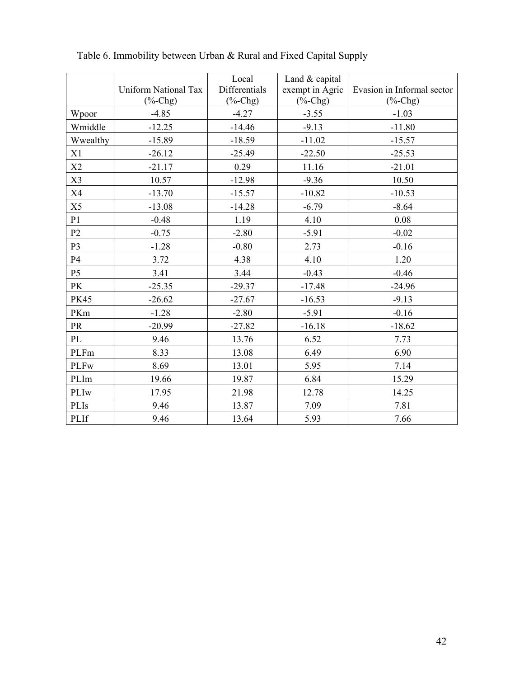|                |                      | Local           | Land & capital                           |                            |
|----------------|----------------------|-----------------|------------------------------------------|----------------------------|
|                | Uniform National Tax | Differentials   | exempt in Agric                          | Evasion in Informal sector |
|                | $(\% -Chg)$          | $(% f)$ (%-Chg) | $(% ^{0}(-\epsilon )^{\prime })$ (%-Chg) | $(\%$ -Chg)                |
| Wpoor          | $-4.85$              | $-4.27$         | $-3.55$                                  | $-1.03$                    |
| Wmiddle        | $-12.25$             | $-14.46$        | $-9.13$                                  | $-11.80$                   |
| Wwealthy       | $-15.89$             | $-18.59$        | $-11.02$                                 | $-15.57$                   |
| X1             | $-26.12$             | $-25.49$        | $-22.50$                                 | $-25.53$                   |
| X2             | $-21.17$             | 0.29            | 11.16                                    | $-21.01$                   |
| X3             | 10.57                | $-12.98$        | $-9.36$                                  | 10.50                      |
| X4             | $-13.70$             | $-15.57$        | $-10.82$                                 | $-10.53$                   |
| X5             | $-13.08$             | $-14.28$        | $-6.79$                                  | $-8.64$                    |
| P <sub>1</sub> | $-0.48$              | 1.19            | 4.10                                     | 0.08                       |
| P2             | $-0.75$              | $-2.80$         | $-5.91$                                  | $-0.02$                    |
| P <sub>3</sub> | $-1.28$              | $-0.80$         | 2.73                                     | $-0.16$                    |
| P4             | 3.72                 | 4.38            | 4.10                                     | 1.20                       |
| <b>P5</b>      | 3.41                 | 3.44            | $-0.43$                                  | $-0.46$                    |
| <b>PK</b>      | $-25.35$             | $-29.37$        | $-17.48$                                 | $-24.96$                   |
| <b>PK45</b>    | $-26.62$             | $-27.67$        | $-16.53$                                 | $-9.13$                    |
| PKm            | $-1.28$              | $-2.80$         | $-5.91$                                  | $-0.16$                    |
| <b>PR</b>      | $-20.99$             | $-27.82$        | $-16.18$                                 | $-18.62$                   |
| PL             | 9.46                 | 13.76           | 6.52                                     | 7.73                       |
| PLFm           | 8.33                 | 13.08           | 6.49                                     | 6.90                       |
| <b>PLFw</b>    | 8.69                 | 13.01           | 5.95                                     | 7.14                       |
| PLIm           | 19.66                | 19.87           | 6.84                                     | 15.29                      |
| PLIw           | 17.95                | 21.98           | 12.78                                    | 14.25                      |
| PLIs           | 9.46                 | 13.87           | 7.09                                     | 7.81                       |
| PLIf           | 9.46                 | 13.64           | 5.93                                     | 7.66                       |

Table 6. Immobility between Urban & Rural and Fixed Capital Supply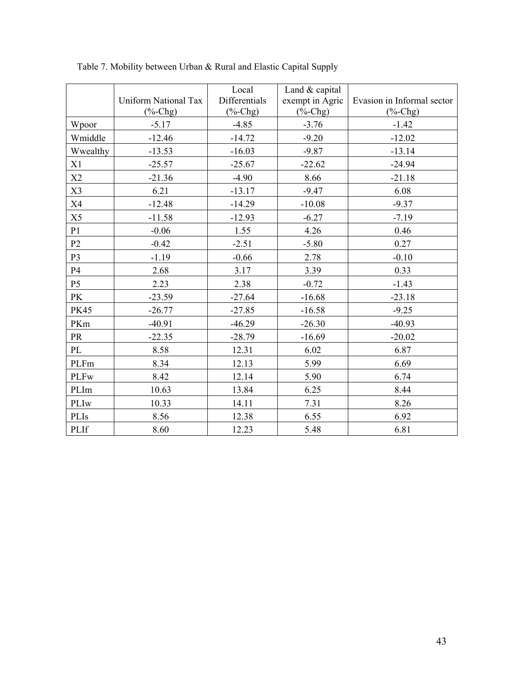|                | Uniform National Tax | Local<br>Differentials | Land & capital                  | Evasion in Informal sector |
|----------------|----------------------|------------------------|---------------------------------|----------------------------|
|                | $(% f)$ (%-Chg)      | $(\% -Chg)$            | exempt in Agric<br>$(%$ (%-Chg) | $(\%$ -Chg)                |
| Wpoor          | $-5.17$              | $-4.85$                | $-3.76$                         | $-1.42$                    |
| Wmiddle        | $-12.46$             | $-14.72$               | $-9.20$                         | $-12.02$                   |
| Wwealthy       | $-13.53$             | $-16.03$               | $-9.87$                         | $-13.14$                   |
| X1             | $-25.57$             | $-25.67$               | $-22.62$                        | $-24.94$                   |
| X2             | $-21.36$             | $-4.90$                | 8.66                            | $-21.18$                   |
| X3             | 6.21                 | $-13.17$               | $-9.47$                         | 6.08                       |
| <b>X4</b>      | $-12.48$             | $-14.29$               | $-10.08$                        | $-9.37$                    |
| X5             | $-11.58$             | $-12.93$               | $-6.27$                         | $-7.19$                    |
| P <sub>1</sub> | $-0.06$              | 1.55                   | 4.26                            | 0.46                       |
| P <sub>2</sub> | $-0.42$              | $-2.51$                | $-5.80$                         | 0.27                       |
| P <sub>3</sub> | $-1.19$              | $-0.66$                | 2.78                            | $-0.10$                    |
| <b>P4</b>      | 2.68                 | 3.17                   | 3.39                            | 0.33                       |
| P <sub>5</sub> | 2.23                 | 2.38                   | $-0.72$                         | $-1.43$                    |
| <b>PK</b>      | $-23.59$             | $-27.64$               | $-16.68$                        | $-23.18$                   |
| <b>PK45</b>    | $-26.77$             | $-27.85$               | $-16.58$                        | $-9.25$                    |
| PKm            | $-40.91$             | $-46.29$               | $-26.30$                        | $-40.93$                   |
| <b>PR</b>      | $-22.35$             | $-28.79$               | $-16.69$                        | $-20.02$                   |
| PL             | 8.58                 | 12.31                  | 6.02                            | 6.87                       |
| PLFm           | 8.34                 | 12.13                  | 5.99                            | 6.69                       |
| <b>PLFw</b>    | 8.42                 | 12.14                  | 5.90                            | 6.74                       |
| PLIm           | 10.63                | 13.84                  | 6.25                            | 8.44                       |
| PLIw           | 10.33                | 14.11                  | 7.31                            | 8.26                       |
| <b>PLIs</b>    | 8.56                 | 12.38                  | 6.55                            | 6.92                       |
| PLIf           | 8.60                 | 12.23                  | 5.48                            | 6.81                       |

Table 7. Mobility between Urban & Rural and Elastic Capital Supply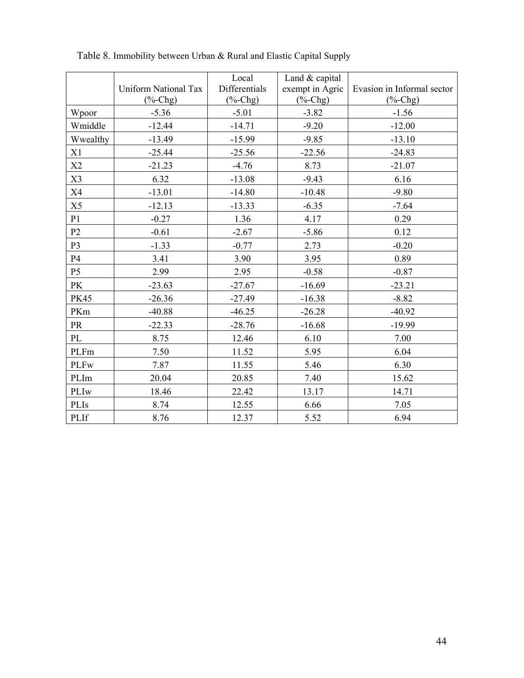|                |                             | Local           | Land & capital  |                            |
|----------------|-----------------------------|-----------------|-----------------|----------------------------|
|                | <b>Uniform National Tax</b> | Differentials   | exempt in Agric | Evasion in Informal sector |
|                | $(\%$ -Chg)                 | $(% f)$ (%-Chg) | $(% f)$ (%-Chg) | $(%$ (%-Chg)               |
| Wpoor          | $-5.36$                     | $-5.01$         | $-3.82$         | $-1.56$                    |
| Wmiddle        | $-12.44$                    | $-14.71$        | $-9.20$         | $-12.00$                   |
| Wwealthy       | $-13.49$                    | $-15.99$        | $-9.85$         | $-13.10$                   |
| X1             | $-25.44$                    | $-25.56$        | $-22.56$        | $-24.83$                   |
| X2             | $-21.23$                    | $-4.76$         | 8.73            | $-21.07$                   |
| X3             | 6.32                        | $-13.08$        | $-9.43$         | 6.16                       |
| X4             | $-13.01$                    | $-14.80$        | $-10.48$        | $-9.80$                    |
| X5             | $-12.13$                    | $-13.33$        | $-6.35$         | $-7.64$                    |
| P1             | $-0.27$                     | 1.36            | 4.17            | 0.29                       |
| P <sub>2</sub> | $-0.61$                     | $-2.67$         | $-5.86$         | 0.12                       |
| P3             | $-1.33$                     | $-0.77$         | 2.73            | $-0.20$                    |
| <b>P4</b>      | 3.41                        | 3.90            | 3.95            | 0.89                       |
| P <sub>5</sub> | 2.99                        | 2.95            | $-0.58$         | $-0.87$                    |
| <b>PK</b>      | $-23.63$                    | $-27.67$        | $-16.69$        | $-23.21$                   |
| <b>PK45</b>    | $-26.36$                    | $-27.49$        | $-16.38$        | $-8.82$                    |
| PKm            | $-40.88$                    | $-46.25$        | $-26.28$        | $-40.92$                   |
| <b>PR</b>      | $-22.33$                    | $-28.76$        | $-16.68$        | $-19.99$                   |
| PL             | 8.75                        | 12.46           | 6.10            | 7.00                       |
| PLFm           | 7.50                        | 11.52           | 5.95            | 6.04                       |
| <b>PLFw</b>    | 7.87                        | 11.55           | 5.46            | 6.30                       |
| PLIm           | 20.04                       | 20.85           | 7.40            | 15.62                      |
| PLIw           | 18.46                       | 22.42           | 13.17           | 14.71                      |
| PLIs           | 8.74                        | 12.55           | 6.66            | 7.05                       |
| PLIf           | 8.76                        | 12.37           | 5.52            | 6.94                       |

Table 8. Immobility between Urban & Rural and Elastic Capital Supply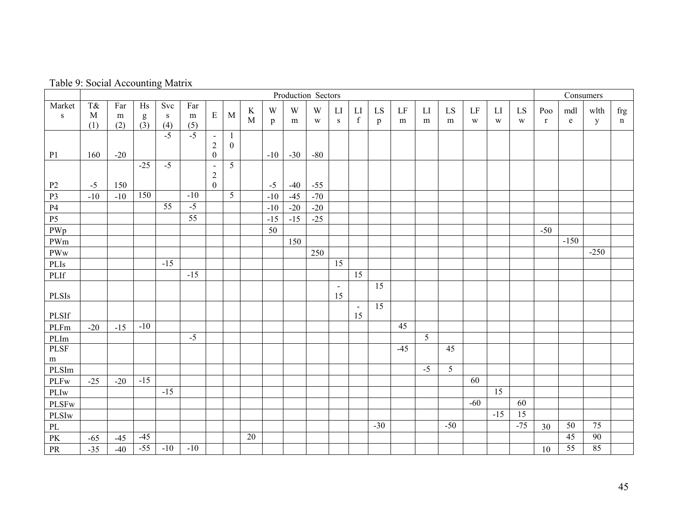| Table 9: Social Accounting Matrix |  |  |
|-----------------------------------|--|--|
|-----------------------------------|--|--|

|                      | Table 9: Social Accounting Matrix |                 |                                     |                         |                         |                                                      |                        |              |                             |                |                |                      |                      |                 |         |                |                |         |         |         |                     |          |                      |                    |
|----------------------|-----------------------------------|-----------------|-------------------------------------|-------------------------|-------------------------|------------------------------------------------------|------------------------|--------------|-----------------------------|----------------|----------------|----------------------|----------------------|-----------------|---------|----------------|----------------|---------|---------|---------|---------------------|----------|----------------------|--------------------|
|                      | Production Sectors                |                 |                                     |                         |                         |                                                      |                        |              |                             |                |                |                      |                      | Consumers       |         |                |                |         |         |         |                     |          |                      |                    |
| Market<br>${\bf S}$  | T&<br>$\mathbf M$<br>(1)          | Far<br>m<br>(2) | Hs<br>${\sf g}$<br>$\overline{(3)}$ | Svc<br>${\bf S}$<br>(4) | Far<br>${\bf m}$<br>(5) | $\mathbf E$                                          | M                      | $\bf K$<br>M | $\mathbf W$<br>$\mathbf{p}$ | W<br>m         | W<br>W         | LI<br>S              | LI<br>$\mathbf f$    | LS<br>p         | LF<br>m | LI<br>m        | LS<br>m        | LF<br>W | LI<br>W | LS<br>W | Poo<br>$\mathbf{r}$ | mdl<br>e | wlth<br>$\mathbf{y}$ | frg<br>$\mathbf n$ |
| P <sub>1</sub>       | 160                               | $-20$           |                                     | $-5$                    | $-5$                    | $\blacksquare$<br>$\overline{2}$<br>$\boldsymbol{0}$ | -1<br>$\boldsymbol{0}$ |              | $-10$                       | $-30$          | $-80$          |                      |                      |                 |         |                |                |         |         |         |                     |          |                      |                    |
| P2<br>P <sub>3</sub> | $-5$<br>$-10$                     | 150<br>$-10$    | $-25$<br>150                        | $-5$                    | $-10$                   | $\blacksquare$<br>$\overline{2}$<br>$\boldsymbol{0}$ | 5<br>5                 |              | $-5$<br>$-10$               | $-40$<br>$-45$ | $-55$<br>$-70$ |                      |                      |                 |         |                |                |         |         |         |                     |          |                      |                    |
| $\mathbf{P}4$        |                                   |                 |                                     | $\overline{55}$         | $-5$                    |                                                      |                        |              | $-10$                       | $-20$          | $-20$          |                      |                      |                 |         |                |                |         |         |         |                     |          |                      |                    |
| P <sub>5</sub>       |                                   |                 |                                     |                         | $\overline{55}$         |                                                      |                        |              | $-15$                       | $-15$          | $-25$          |                      |                      |                 |         |                |                |         |         |         |                     |          |                      |                    |
| PWp                  |                                   |                 |                                     |                         |                         |                                                      |                        |              | 50                          |                |                |                      |                      |                 |         |                |                |         |         |         | $-50$               |          |                      |                    |
| PWm                  |                                   |                 |                                     |                         |                         |                                                      |                        |              |                             | 150            |                |                      |                      |                 |         |                |                |         |         |         |                     | $-150$   |                      |                    |
| PWw                  |                                   |                 |                                     |                         |                         |                                                      |                        |              |                             |                | 250            |                      |                      |                 |         |                |                |         |         |         |                     |          | $-250$               |                    |
| PLIs                 |                                   |                 |                                     | $-15$                   |                         |                                                      |                        |              |                             |                |                | 15                   |                      |                 |         |                |                |         |         |         |                     |          |                      |                    |
| $\rm PLIf$           |                                   |                 |                                     |                         | $-15$                   |                                                      |                        |              |                             |                |                |                      | $\overline{15}$      |                 |         |                |                |         |         |         |                     |          |                      |                    |
| <b>PLSIs</b>         |                                   |                 |                                     |                         |                         |                                                      |                        |              |                             |                |                | $\blacksquare$<br>15 |                      | 15              |         |                |                |         |         |         |                     |          |                      |                    |
| PLSIf                |                                   |                 |                                     |                         |                         |                                                      |                        |              |                             |                |                |                      | $\blacksquare$<br>15 | $\overline{15}$ |         |                |                |         |         |         |                     |          |                      |                    |
| PLFm                 | $-20$                             | $-15$           | $-10$                               |                         |                         |                                                      |                        |              |                             |                |                |                      |                      |                 | 45      |                |                |         |         |         |                     |          |                      |                    |
| PLIm                 |                                   |                 |                                     |                         | $-5$                    |                                                      |                        |              |                             |                |                |                      |                      |                 |         | $\overline{5}$ |                |         |         |         |                     |          |                      |                    |
| PLSF<br>m            |                                   |                 |                                     |                         |                         |                                                      |                        |              |                             |                |                |                      |                      |                 | $-45$   |                | 45             |         |         |         |                     |          |                      |                    |
| PLSIm                |                                   |                 |                                     |                         |                         |                                                      |                        |              |                             |                |                |                      |                      |                 |         | $-5$           | $\overline{5}$ |         |         |         |                     |          |                      |                    |
| $\rm{PLFw}$          | $-25$                             | $-20$           | $-15$                               |                         |                         |                                                      |                        |              |                             |                |                |                      |                      |                 |         |                |                | 60      |         |         |                     |          |                      |                    |
| PLIw                 |                                   |                 |                                     | $-15$                   |                         |                                                      |                        |              |                             |                |                |                      |                      |                 |         |                |                |         | 15      |         |                     |          |                      |                    |
| <b>PLSFw</b>         |                                   |                 |                                     |                         |                         |                                                      |                        |              |                             |                |                |                      |                      |                 |         |                |                | $-60$   |         | 60      |                     |          |                      |                    |
| PLSIw                |                                   |                 |                                     |                         |                         |                                                      |                        |              |                             |                |                |                      |                      |                 |         |                |                |         | $-15$   | 15      |                     |          |                      |                    |
| $\rm PL$             |                                   |                 |                                     |                         |                         |                                                      |                        |              |                             |                |                |                      |                      | $-30$           |         |                | $-50$          |         |         | $-75$   | 30                  | 50       | 75                   |                    |
| PK                   | $-65$                             | $-45$           | $-45$                               |                         |                         |                                                      |                        | 20           |                             |                |                |                      |                      |                 |         |                |                |         |         |         |                     | 45       | 90                   |                    |
| PR                   | $-35$                             | $-40$           | $-55$                               | $-10$                   | $-10$                   |                                                      |                        |              |                             |                |                |                      |                      |                 |         |                |                |         |         |         | 10                  | 55       | 85                   |                    |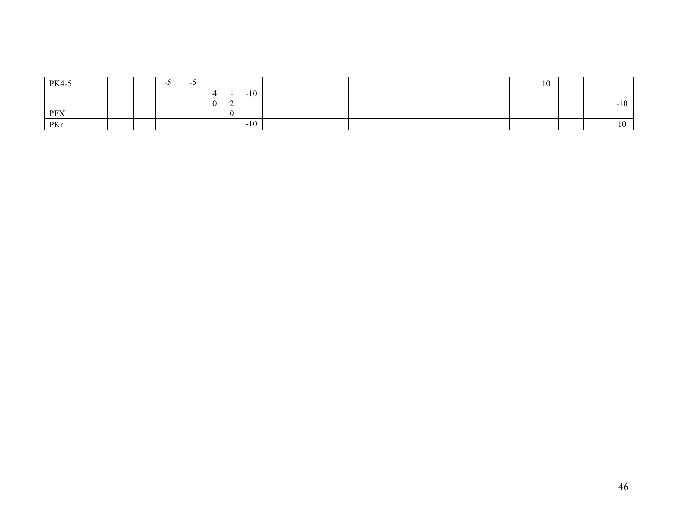| PK4-5 |  | - 1 | $\overline{\phantom{a}}$ |  |       |  |  |  |  |  |  | 1 <sub>0</sub><br>1 U |  |                          |
|-------|--|-----|--------------------------|--|-------|--|--|--|--|--|--|-----------------------|--|--------------------------|
|       |  |     |                          |  | $-10$ |  |  |  |  |  |  |                       |  |                          |
|       |  |     |                          |  |       |  |  |  |  |  |  |                       |  | $-10$                    |
| PFX   |  |     |                          |  |       |  |  |  |  |  |  |                       |  |                          |
| PKr   |  |     |                          |  | $-10$ |  |  |  |  |  |  |                       |  | $\sim$<br>1 <sub>0</sub> |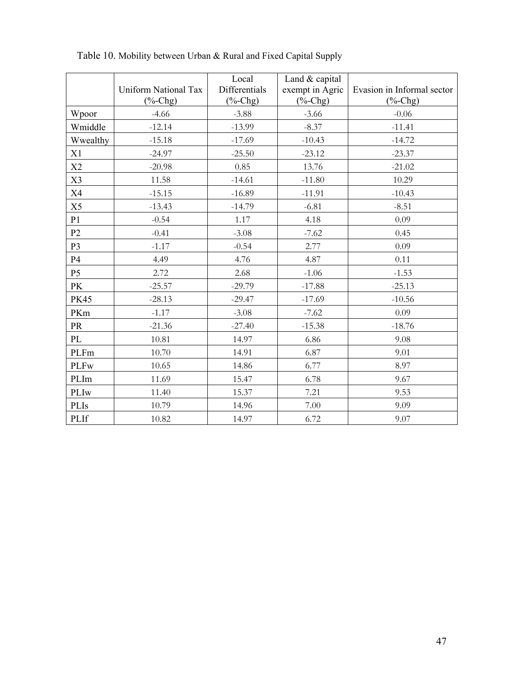|                | Uniform National Tax | Local<br>Differentials | Land & capital<br>exempt in Agric | Evasion in Informal sector |
|----------------|----------------------|------------------------|-----------------------------------|----------------------------|
|                | $(%$ (%-Chg)         | $(% f)$ (%-Chg)        | $(% ^{0}(-)C)$ <sub>(%-Chg)</sub> | $(%$ (%-Chg)               |
| Wpoor          | $-4.66$              | $-3.88$                | $-3.66$                           | $-0.06$                    |
| Wmiddle        | $-12.14$             | $-13.99$               | $-8.37$                           | $-11.41$                   |
| Wwealthy       | $-15.18$             | $-17.69$               | $-10.43$                          | $-14.72$                   |
| X1             | $-24.97$             | $-25.50$               | $-23.12$                          | $-23.37$                   |
| X2             | $-20.98$             | 0.85                   | 13.76                             | $-21.02$                   |
| X3             | 11.58                | $-14.61$               | $-11.80$                          | 10.29                      |
| X4             | $-15.15$             | $-16.89$               | $-11.91$                          | $-10.43$                   |
| X5             | $-13.43$             | $-14.79$               | $-6.81$                           | $-8.51$                    |
| P <sub>1</sub> | $-0.54$              | 1.17                   | 4.18                              | 0.09                       |
| P <sub>2</sub> | $-0.41$              | $-3.08$                | $-7.62$                           | 0.45                       |
| P <sub>3</sub> | $-1.17$              | $-0.54$                | 2.77                              | 0.09                       |
| <b>P4</b>      | 4.49                 | 4.76                   | 4.87                              | 0.11                       |
| <b>P5</b>      | 2.72                 | 2.68                   | $-1.06$                           | $-1.53$                    |
| PK             | $-25.57$             | $-29.79$               | $-17.88$                          | $-25.13$                   |
| <b>PK45</b>    | $-28.13$             | $-29.47$               | $-17.69$                          | $-10.56$                   |
| PKm            | $-1.17$              | $-3.08$                | $-7.62$                           | 0.09                       |
| PR             | $-21.36$             | $-27.40$               | $-15.38$                          | $-18.76$                   |
| PL             | 10.81                | 14.97                  | 6.86                              | 9.08                       |
| PLFm           | 10.70                | 14.91                  | 6.87                              | 9.01                       |
| <b>PLFw</b>    | 10.65                | 14.86                  | 6.77                              | 8.97                       |
| PLIm           | 11.69                | 15.47                  | 6.78                              | 9.67                       |
| PLIw           | 11.40                | 15.37                  | 7.21                              | 9.53                       |
| PLIs           | 10.79                | 14.96                  | 7.00                              | 9.09                       |
| PLIf           | 10.82                | 14.97                  | 6.72                              | 9.07                       |

Table 10. Mobility between Urban & Rural and Fixed Capital Supply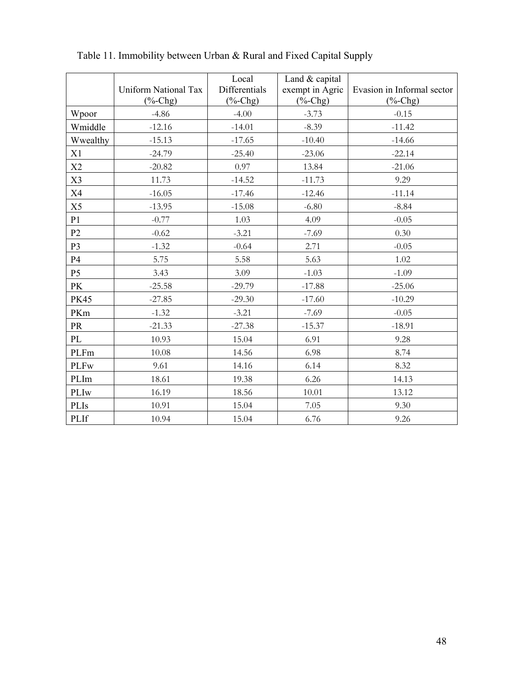|                | Uniform National Tax | Local<br>Differentials | Land & capital<br>exempt in Agric        | Evasion in Informal sector |
|----------------|----------------------|------------------------|------------------------------------------|----------------------------|
|                | $(%$ (%-Chg)         | $(% f)$ (%-Chg)        | $(% ^{0}(-\epsilon )^{\prime })$ (%-Chg) | $(%$ (%-Chg)               |
| Wpoor          | $-4.86$              | $-4.00$                | $-3.73$                                  | $-0.15$                    |
| Wmiddle        | $-12.16$             | $-14.01$               | $-8.39$                                  | $-11.42$                   |
| Wwealthy       | $-15.13$             | $-17.65$               | $-10.40$                                 | $-14.66$                   |
| X1             | $-24.79$             | $-25.40$               | $-23.06$                                 | $-22.14$                   |
| X2             | $-20.82$             | 0.97                   | 13.84                                    | $-21.06$                   |
| X3             | 11.73                | $-14.52$               | $-11.73$                                 | 9.29                       |
| X4             | $-16.05$             | $-17.46$               | $-12.46$                                 | $-11.14$                   |
| X5             | $-13.95$             | $-15.08$               | $-6.80$                                  | $-8.84$                    |
| P <sub>1</sub> | $-0.77$              | 1.03                   | 4.09                                     | $-0.05$                    |
| P <sub>2</sub> | $-0.62$              | $-3.21$                | $-7.69$                                  | 0.30                       |
| P <sub>3</sub> | $-1.32$              | $-0.64$                | 2.71                                     | $-0.05$                    |
| <b>P4</b>      | 5.75                 | 5.58                   | 5.63                                     | 1.02                       |
| <b>P5</b>      | 3.43                 | 3.09                   | $-1.03$                                  | $-1.09$                    |
| PK             | $-25.58$             | $-29.79$               | $-17.88$                                 | $-25.06$                   |
| <b>PK45</b>    | $-27.85$             | $-29.30$               | $-17.60$                                 | $-10.29$                   |
| PKm            | $-1.32$              | $-3.21$                | $-7.69$                                  | $-0.05$                    |
| PR             | $-21.33$             | $-27.38$               | $-15.37$                                 | $-18.91$                   |
| PL             | 10.93                | 15.04                  | 6.91                                     | 9.28                       |
| PLFm           | 10.08                | 14.56                  | 6.98                                     | 8.74                       |
| <b>PLFw</b>    | 9.61                 | 14.16                  | 6.14                                     | 8.32                       |
| PLIm           | 18.61                | 19.38                  | 6.26                                     | 14.13                      |
| PLIw           | 16.19                | 18.56                  | 10.01                                    | 13.12                      |
| PLIs           | 10.91                | 15.04                  | 7.05                                     | 9.30                       |
| PLIf           | 10.94                | 15.04                  | 6.76                                     | 9.26                       |

Table 11. Immobility between Urban & Rural and Fixed Capital Supply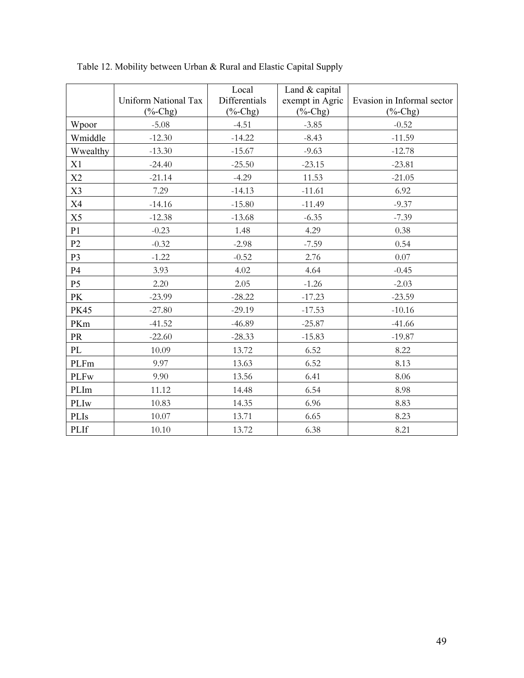|                | Uniform National Tax<br>$(% f)$ (%-Chg) | Local<br>Differentials<br>$(\%$ -Chg) | Land & capital<br>exempt in Agric<br>$(%$ (%-Chg) | Evasion in Informal sector<br>$(\%$ -Chg) |
|----------------|-----------------------------------------|---------------------------------------|---------------------------------------------------|-------------------------------------------|
| Wpoor          | $-5.08$                                 | $-4.51$                               | $-3.85$                                           | $-0.52$                                   |
| Wmiddle        | $-12.30$                                | $-14.22$                              | $-8.43$                                           | $-11.59$                                  |
| Wwealthy       | $-13.30$                                | $-15.67$                              | $-9.63$                                           | $-12.78$                                  |
| X1             | $-24.40$                                | $-25.50$                              | $-23.15$                                          | $-23.81$                                  |
| X2             | $-21.14$                                | $-4.29$                               | 11.53                                             | $-21.05$                                  |
| X3             | 7.29                                    | $-14.13$                              | $-11.61$                                          | 6.92                                      |
| X4             | $-14.16$                                | $-15.80$                              | $-11.49$                                          | $-9.37$                                   |
| X5             | $-12.38$                                | $-13.68$                              | $-6.35$                                           | $-7.39$                                   |
| P <sub>1</sub> | $-0.23$                                 | 1.48                                  | 4.29                                              | 0.38                                      |
| P <sub>2</sub> | $-0.32$                                 | $-2.98$                               | $-7.59$                                           | 0.54                                      |
| P <sub>3</sub> | $-1.22$                                 | $-0.52$                               | 2.76                                              | 0.07                                      |
| P4             | 3.93                                    | 4.02                                  | 4.64                                              | $-0.45$                                   |
| P <sub>5</sub> | 2.20                                    | 2.05                                  | $-1.26$                                           | $-2.03$                                   |
| PK             | $-23.99$                                | $-28.22$                              | $-17.23$                                          | $-23.59$                                  |
| <b>PK45</b>    | $-27.80$                                | $-29.19$                              | $-17.53$                                          | $-10.16$                                  |
| PKm            | $-41.52$                                | $-46.89$                              | $-25.87$                                          | $-41.66$                                  |
| PR             | $-22.60$                                | $-28.33$                              | $-15.83$                                          | $-19.87$                                  |
| PL             | 10.09                                   | 13.72                                 | 6.52                                              | 8.22                                      |
| PLFm           | 9.97                                    | 13.63                                 | 6.52                                              | 8.13                                      |
| <b>PLFw</b>    | 9.90                                    | 13.56                                 | 6.41                                              | 8.06                                      |
| PLIm           | 11.12                                   | 14.48                                 | 6.54                                              | 8.98                                      |
| PLIw           | 10.83                                   | 14.35                                 | 6.96                                              | 8.83                                      |
| PLIs           | 10.07                                   | 13.71                                 | 6.65                                              | 8.23                                      |
| <b>PLIf</b>    | 10.10                                   | 13.72                                 | 6.38                                              | 8.21                                      |

Table 12. Mobility between Urban & Rural and Elastic Capital Supply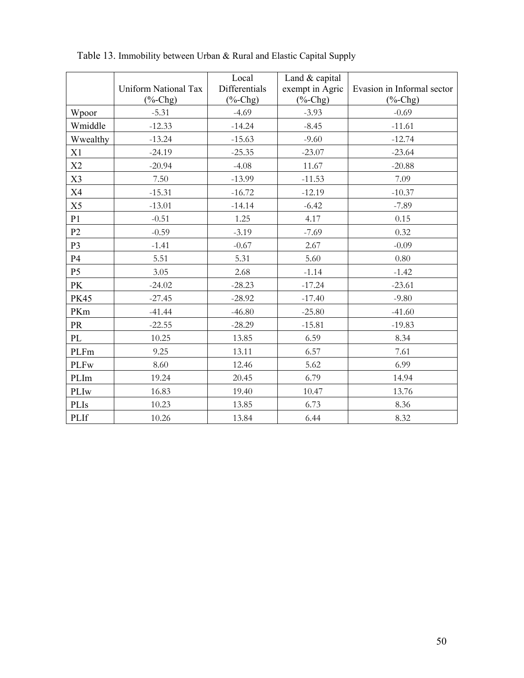|                | Uniform National Tax<br>$(\frac{6}{6}$ -Chg) | Local<br>Differentials<br>$(% f)$ (%-Chg) | Land & capital<br>exempt in Agric<br>$(% ^{0}(-)C)$ <sub>(%</sub> -Chg) | Evasion in Informal sector<br>$(%$ (%-Chg) |
|----------------|----------------------------------------------|-------------------------------------------|-------------------------------------------------------------------------|--------------------------------------------|
| Wpoor          | $-5.31$                                      | $-4.69$                                   | $-3.93$                                                                 | $-0.69$                                    |
| Wmiddle        | $-12.33$                                     | $-14.24$                                  | $-8.45$                                                                 | $-11.61$                                   |
| Wwealthy       | $-13.24$                                     | $-15.63$                                  | $-9.60$                                                                 | $-12.74$                                   |
| X1             | $-24.19$                                     | $-25.35$                                  | $-23.07$                                                                | $-23.64$                                   |
| X2             | $-20.94$                                     | $-4.08$                                   | 11.67                                                                   | $-20.88$                                   |
| X3             | 7.50                                         | $-13.99$                                  | $-11.53$                                                                | 7.09                                       |
| X4             | $-15.31$                                     | $-16.72$                                  | $-12.19$                                                                | $-10.37$                                   |
| X5             | $-13.01$                                     | $-14.14$                                  | $-6.42$                                                                 | $-7.89$                                    |
| P1             | $-0.51$                                      | 1.25                                      | 4.17                                                                    | 0.15                                       |
| P2             | $-0.59$                                      | $-3.19$                                   | $-7.69$                                                                 | 0.32                                       |
| P <sub>3</sub> | $-1.41$                                      | $-0.67$                                   | 2.67                                                                    | $-0.09$                                    |
| P4             | 5.51                                         | 5.31                                      | 5.60                                                                    | 0.80                                       |
| P <sub>5</sub> | 3.05                                         | 2.68                                      | $-1.14$                                                                 | $-1.42$                                    |
| PK             | $-24.02$                                     | $-28.23$                                  | $-17.24$                                                                | $-23.61$                                   |
| <b>PK45</b>    | $-27.45$                                     | $-28.92$                                  | $-17.40$                                                                | $-9.80$                                    |
| PKm            | $-41.44$                                     | $-46.80$                                  | $-25.80$                                                                | $-41.60$                                   |
| <b>PR</b>      | $-22.55$                                     | $-28.29$                                  | $-15.81$                                                                | $-19.83$                                   |
| PL             | 10.25                                        | 13.85                                     | 6.59                                                                    | 8.34                                       |
| PLFm           | 9.25                                         | 13.11                                     | 6.57                                                                    | 7.61                                       |
| <b>PLFw</b>    | 8.60                                         | 12.46                                     | 5.62                                                                    | 6.99                                       |
| PLIm           | 19.24                                        | 20.45                                     | 6.79                                                                    | 14.94                                      |
| PLIw           | 16.83                                        | 19.40                                     | 10.47                                                                   | 13.76                                      |
| PLIs           | 10.23                                        | 13.85                                     | 6.73                                                                    | 8.36                                       |
| PLIf           | 10.26                                        | 13.84                                     | 6.44                                                                    | 8.32                                       |

Table 13. Immobility between Urban & Rural and Elastic Capital Supply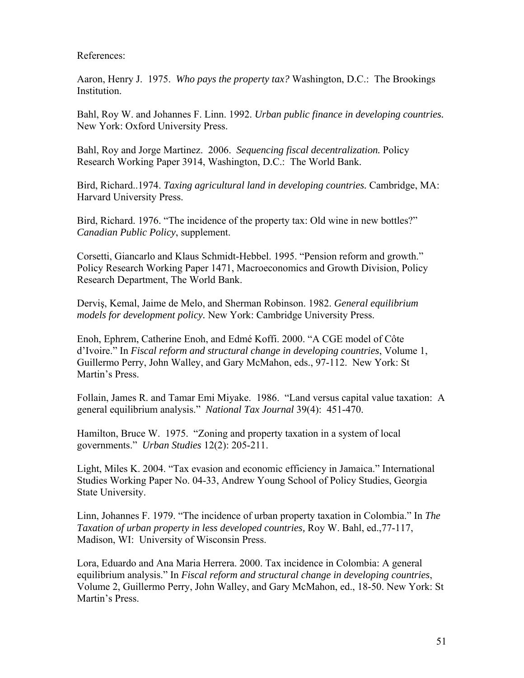# References:

Aaron, Henry J. 1975. *Who pays the property tax?* Washington, D.C.: The Brookings Institution.

Bahl, Roy W. and Johannes F. Linn. 1992. *Urban public finance in developing countries.* New York: Oxford University Press.

Bahl, Roy and Jorge Martinez. 2006. *Sequencing fiscal decentralization.* Policy Research Working Paper 3914, Washington, D.C.: The World Bank.

Bird, Richard..1974. *Taxing agricultural land in developing countries.* Cambridge, MA: Harvard University Press.

Bird, Richard. 1976. "The incidence of the property tax: Old wine in new bottles?" *Canadian Public Policy*, supplement.

Corsetti, Giancarlo and Klaus Schmidt-Hebbel. 1995. "Pension reform and growth." Policy Research Working Paper 1471, Macroeconomics and Growth Division, Policy Research Department, The World Bank.

Derviş, Kemal, Jaime de Melo, and Sherman Robinson. 1982. *General equilibrium models for development policy.* New York: Cambridge University Press.

Enoh, Ephrem, Catherine Enoh, and Edmé Koffi. 2000. "A CGE model of Côte d'Ivoire." In *Fiscal reform and structural change in developing countries*, Volume 1, Guillermo Perry, John Walley, and Gary McMahon, eds., 97-112. New York: St Martin's Press.

Follain, James R. and Tamar Emi Miyake. 1986. "Land versus capital value taxation: A general equilibrium analysis." *National Tax Journal* 39(4): 451-470.

Hamilton, Bruce W. 1975. "Zoning and property taxation in a system of local governments." *Urban Studies* 12(2): 205-211.

Light, Miles K. 2004. "Tax evasion and economic efficiency in Jamaica." International Studies Working Paper No. 04-33, Andrew Young School of Policy Studies, Georgia State University.

Linn, Johannes F. 1979. "The incidence of urban property taxation in Colombia." In *The Taxation of urban property in less developed countries,* Roy W. Bahl, ed.,77-117, Madison, WI: University of Wisconsin Press.

Lora, Eduardo and Ana Maria Herrera. 2000. Tax incidence in Colombia: A general equilibrium analysis." In *Fiscal reform and structural change in developing countries*, Volume 2, Guillermo Perry, John Walley, and Gary McMahon, ed., 18-50. New York: St Martin's Press.